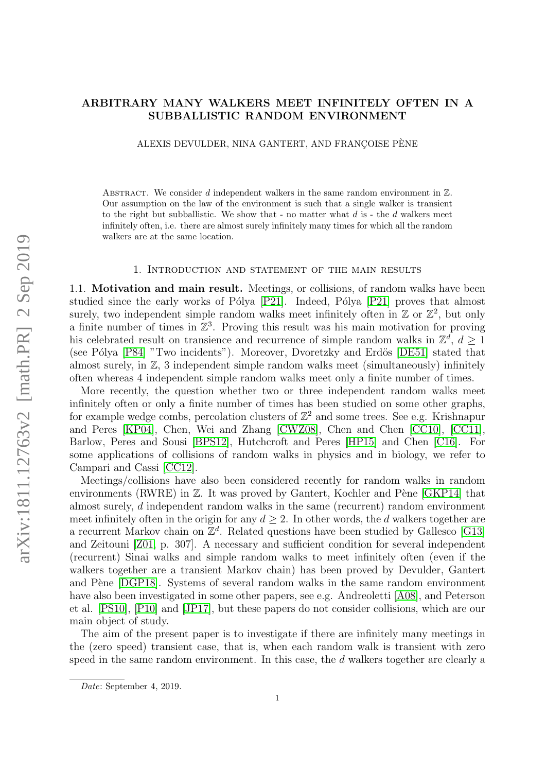# ARBITRARY MANY WALKERS MEET INFINITELY OFTEN IN A SUBBALLISTIC RANDOM ENVIRONMENT

ALEXIS DEVULDER, NINA GANTERT, AND FRANCOISE PÈNE

ABSTRACT. We consider  $d$  independent walkers in the same random environment in  $\mathbb{Z}$ . Our assumption on the law of the environment is such that a single walker is transient to the right but subballistic. We show that - no matter what  $d$  is - the  $d$  walkers meet infinitely often, i.e. there are almost surely infinitely many times for which all the random walkers are at the same location.

#### 1. Introduction and statement of the main results

1.1. Motivation and main result. Meetings, or collisions, of random walks have been studied since the early works of Pólya [\[P21\]](#page-24-0). Indeed, Pólya [P21] proves that almost surely, two independent simple random walks meet infinitely often in  $\mathbb{Z}$  or  $\mathbb{Z}^2$ , but only a finite number of times in  $\mathbb{Z}^3$ . Proving this result was his main motivation for proving his celebrated result on transience and recurrence of simple random walks in  $\mathbb{Z}^d$ ,  $d \geq 1$ (see Pólya [\[P84\]](#page-24-1) "Two incidents"). Moreover, Dvoretzky and Erdös [\[DE51\]](#page-24-2) stated that almost surely, in  $\mathbb{Z}$ , 3 independent simple random walks meet (simultaneously) infinitely often whereas 4 independent simple random walks meet only a finite number of times.

More recently, the question whether two or three independent random walks meet infinitely often or only a finite number of times has been studied on some other graphs, for example wedge combs, percolation clusters of  $\mathbb{Z}^2$  and some trees. See e.g. Krishnapur and Peres [\[KP04\]](#page-24-3), Chen, Wei and Zhang [\[CWZ08\]](#page-24-4), Chen and Chen [\[CC10\]](#page-24-5), [\[CC11\]](#page-24-6), Barlow, Peres and Sousi [\[BPS12\]](#page-23-0), Hutchcroft and Peres [\[HP15\]](#page-24-7) and Chen [\[C16\]](#page-24-8). For some applications of collisions of random walks in physics and in biology, we refer to Campari and Cassi [\[CC12\]](#page-23-1).

Meetings/collisions have also been considered recently for random walks in random environments (RWRE) in  $\mathbb Z$ . It was proved by Gantert, Kochler and Pène [\[GKP14\]](#page-24-9) that almost surely, d independent random walks in the same (recurrent) random environment meet infinitely often in the origin for any  $d \geq 2$ . In other words, the d walkers together are a recurrent Markov chain on  $\mathbb{Z}^d$ . Related questions have been studied by Gallesco [\[G13\]](#page-24-10) and Zeitouni [\[Z01,](#page-25-0) p. 307]. A necessary and sufficient condition for several independent (recurrent) Sinai walks and simple random walks to meet infinitely often (even if the walkers together are a transient Markov chain) has been proved by Devulder, Gantert and Pène [\[DGP18\]](#page-24-11). Systems of several random walks in the same random environment have also been investigated in some other papers, see e.g. Andreoletti [\[A08\]](#page-23-2), and Peterson et al. [\[PS10\]](#page-24-12), [\[P10\]](#page-24-13) and [\[JP17\]](#page-24-14), but these papers do not consider collisions, which are our main object of study.

The aim of the present paper is to investigate if there are infinitely many meetings in the (zero speed) transient case, that is, when each random walk is transient with zero speed in the same random environment. In this case, the d walkers together are clearly a

Date: September 4, 2019.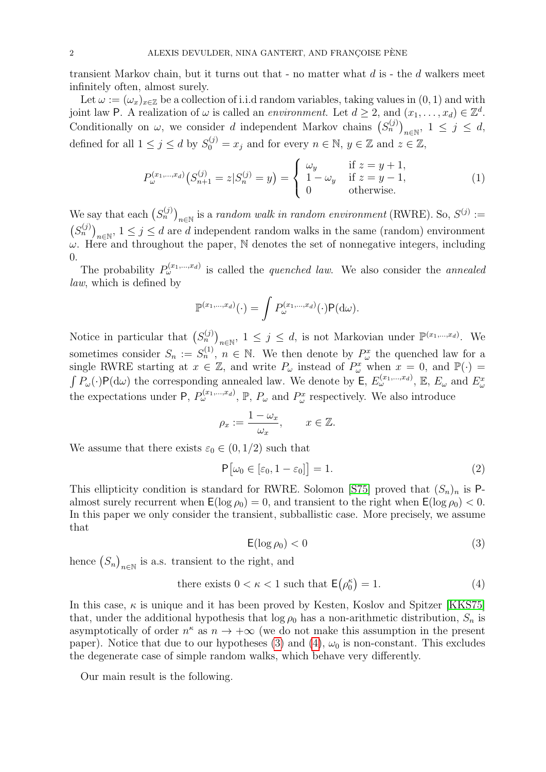transient Markov chain, but it turns out that  $\text{-}$  no matter what d is  $\text{-}$  the d walkers meet infinitely often, almost surely.

Let  $\omega := (\omega_x)_{x \in \mathbb{Z}}$  be a collection of i.i.d random variables, taking values in  $(0, 1)$  and with joint law P. A realization of  $\omega$  is called an *environment*. Let  $d \geq 2$ , and  $(x_1, \ldots, x_d) \in \mathbb{Z}^d$ . Conditionally on  $\omega$ , we consider d independent Markov chains  $(S_n^{(j)})_{n\in\mathbb{N}}$ ,  $1 \leq j \leq d$ , defined for all  $1 \leq j \leq d$  by  $S_0^{(j)} = x_j$  and for every  $n \in \mathbb{N}$ ,  $y \in \mathbb{Z}$  and  $z \in \mathbb{Z}$ ,

<span id="page-1-3"></span>
$$
P_{\omega}^{(x_1,\dots,x_d)}(S_{n+1}^{(j)}=z|S_n^{(j)}=y) = \begin{cases} \omega_y & \text{if } z=y+1, \\ 1-\omega_y & \text{if } z=y-1, \\ 0 & \text{otherwise.} \end{cases}
$$
 (1)

We say that each  $(S_n^{(j)})_{n\in\mathbb{N}}$  is a *random walk in random environment* (RWRE). So,  $S^{(j)}$  :=  $(S_n^{(j)})_{n\in\mathbb{N}}, 1 \leq j \leq d$  are d independent random walks in the same (random) environment  $\omega$ . Here and throughout the paper, N denotes the set of nonnegative integers, including  $\Omega$ 

The probability  $P_{\omega}^{(x_1,...,x_d)}$  is called the *quenched law*. We also consider the *annealed* law, which is defined by

$$
\mathbb{P}^{(x_1,\ldots,x_d)}(\cdot) = \int P_{\omega}^{(x_1,\ldots,x_d)}(\cdot) \mathsf{P}(\mathrm{d}\omega).
$$

Notice in particular that  $(S_n^{(j)})_{n\in\mathbb{N}}$ ,  $1 \leq j \leq d$ , is not Markovian under  $\mathbb{P}^{(x_1,...,x_d)}$ . We sometimes consider  $S_n := S_n^{(1)}$ ,  $n \in \mathbb{N}$ . We then denote by  $P_\omega^x$  the quenched law for a single RWRE starting at  $x \in \mathbb{Z}$ , and write  $P_{\omega}$  instead of  $P_{\omega}^{x}$  when  $x = 0$ , and  $\mathbb{P}(\cdot)$  $\int P_{\omega}(\cdot) \mathsf{P}(\mathrm{d}\omega)$  the corresponding annealed law. We denote by  $\mathsf{E}, E_{\omega}^{(x_1,...,x_d)}$ ,  $\mathbb{E}, E_{\omega}$  and  $E_{\omega}^x$ the expectations under P,  $P_{\omega}^{(x_1,...,x_d)}$ , P,  $P_{\omega}$  and  $P_{\omega}^x$  respectively. We also introduce

$$
\rho_x := \frac{1 - \omega_x}{\omega_x}, \qquad x \in \mathbb{Z}.
$$

We assume that there exists  $\varepsilon_0 \in (0, 1/2)$  such that

<span id="page-1-2"></span>
$$
\mathsf{P}\big[\omega_0 \in [\varepsilon_0, 1 - \varepsilon_0]\big] = 1. \tag{2}
$$

This ellipticity condition is standard for RWRE. Solomon [\[S75\]](#page-25-1) proved that  $(S_n)_n$  is Palmost surely recurrent when  $E(\log \rho_0) = 0$ , and transient to the right when  $E(\log \rho_0) < 0$ . In this paper we only consider the transient, subballistic case. More precisely, we assume that

<span id="page-1-1"></span><span id="page-1-0"></span>
$$
\mathsf{E}(\log \rho_0) < 0 \tag{3}
$$

hence  $(S_n)_{n \in \mathbb{N}}$  is a.s. transient to the right, and

there exists 
$$
0 < \kappa < 1
$$
 such that  $E(\rho_0^{\kappa}) = 1$ . (4)

In this case,  $\kappa$  is unique and it has been proved by Kesten, Koslov and Spitzer [\[KKS75\]](#page-24-15) that, under the additional hypothesis that  $\log \rho_0$  has a non-arithmetic distribution,  $S_n$  is asymptotically of order  $n^k$  as  $n \to +\infty$  (we do not make this assumption in the present paper). Notice that due to our hypotheses [\(3\)](#page-1-0) and [\(4\)](#page-1-1),  $\omega_0$  is non-constant. This excludes the degenerate case of simple random walks, which behave very differently.

Our main result is the following.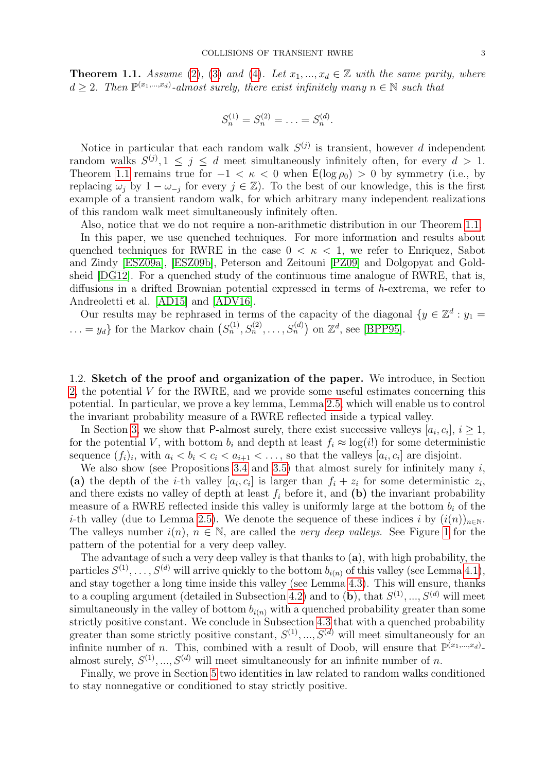<span id="page-2-0"></span>**Theorem 1.1.** Assume [\(2\)](#page-1-2), [\(3\)](#page-1-0) and [\(4\)](#page-1-1). Let  $x_1, ..., x_d \in \mathbb{Z}$  with the same parity, where  $d \geq 2$ . Then  $\mathbb{P}^{(x_1,...,x_d)}$ -almost surely, there exist infinitely many  $n \in \mathbb{N}$  such that

$$
S_n^{(1)} = S_n^{(2)} = \ldots = S_n^{(d)}.
$$

Notice in particular that each random walk  $S^{(j)}$  is transient, however d independent random walks  $S^{(j)}$ ,  $1 \leq j \leq d$  meet simultaneously infinitely often, for every  $d > 1$ . Theorem [1.1](#page-2-0) remains true for  $-1 < \kappa < 0$  when  $\mathsf{E}(\log \rho_0) > 0$  by symmetry (i.e., by replacing  $\omega_j$  by  $1 - \omega_{-j}$  for every  $j \in \mathbb{Z}$ ). To the best of our knowledge, this is the first example of a transient random walk, for which arbitrary many independent realizations of this random walk meet simultaneously infinitely often.

Also, notice that we do not require a non-arithmetic distribution in our Theorem [1.1.](#page-2-0)

In this paper, we use quenched techniques. For more information and results about quenched techniques for RWRE in the case  $0 < \kappa < 1$ , we refer to Enriquez, Sabot and Zindy [\[ESZ09a\]](#page-24-16), [\[ESZ09b\]](#page-24-17), Peterson and Zeitouni [\[PZ09\]](#page-24-18) and Dolgopyat and Goldsheid [\[DG12\]](#page-24-19). For a quenched study of the continuous time analogue of RWRE, that is, diffusions in a drifted Brownian potential expressed in terms of h-extrema, we refer to Andreoletti et al. [\[AD15\]](#page-23-3) and [\[ADV16\]](#page-23-4).

Our results may be rephrased in terms of the capacity of the diagonal  $\{y \in \mathbb{Z}^d : y_1 =$  $\dots = y_d$  for the Markov chain  $(S_n^{(1)}, S_n^{(2)}, \dots, S_n^{(d)})$  on  $\mathbb{Z}^d$ , see [\[BPP95\]](#page-23-5).

1.2. Sketch of the proof and organization of the paper. We introduce, in Section [2,](#page-3-0) the potential V for the RWRE, and we provide some useful estimates concerning this potential. In particular, we prove a key lemma, Lemma [2.5,](#page-7-0) which will enable us to control the invariant probability measure of a RWRE reflected inside a typical valley.

In Section [3,](#page-8-0) we show that P-almost surely, there exist successive valleys  $[a_i, c_i], i \geq 1$ , for the potential V, with bottom  $b_i$  and depth at least  $f_i \approx \log(i!)$  for some deterministic sequence  $(f_i)_i$ , with  $a_i < b_i < c_i < a_{i+1} < \ldots$ , so that the valleys  $[a_i, c_i]$  are disjoint.

We also show (see Propositions [3.4](#page-13-0) and [3.5\)](#page-14-0) that almost surely for infinitely many  $i$ , (a) the depth of the *i*-th valley  $[a_i, c_i]$  is larger than  $f_i + z_i$  for some deterministic  $z_i$ , and there exists no valley of depth at least  $f_i$  before it, and (b) the invariant probability measure of a RWRE reflected inside this valley is uniformly large at the bottom  $b_i$  of the i-th valley (due to Lemma [2.5\)](#page-7-0). We denote the sequence of these indices i by  $(i(n))_{n\in\mathbb{N}}$ . The valleys number  $i(n)$ ,  $n \in \mathbb{N}$ , are called the *very deep valleys*. See Figure [1](#page-9-0) for the pattern of the potential for a very deep valley.

The advantage of such a very deep valley is that thanks to (a), with high probability, the particles  $S^{(1)}, \ldots, S^{(d)}$  will arrive quickly to the bottom  $b_{i(n)}$  of this valley (see Lemma [4.1\)](#page-15-0), and stay together a long time inside this valley (see Lemma [4.3\)](#page-16-0). This will ensure, thanks to a coupling argument (detailed in Subsection [4.2\)](#page-17-0) and to (b), that  $S^{(1)},...,S^{(d)}$  will meet simultaneously in the valley of bottom  $b_{i(n)}$  with a quenched probability greater than some strictly positive constant. We conclude in Subsection [4.3](#page-19-0) that with a quenched probability greater than some strictly positive constant,  $S^{(1)}, ..., S^{(d)}$  will meet simultaneously for an infinite number of *n*. This, combined with a result of Doob, will ensure that  $\mathbb{P}^{(x_1,...,x_d)}$ . almost surely,  $S^{(1)},...,S^{(d)}$  will meet simultaneously for an infinite number of n.

Finally, we prove in Section [5](#page-21-0) two identities in law related to random walks conditioned to stay nonnegative or conditioned to stay strictly positive.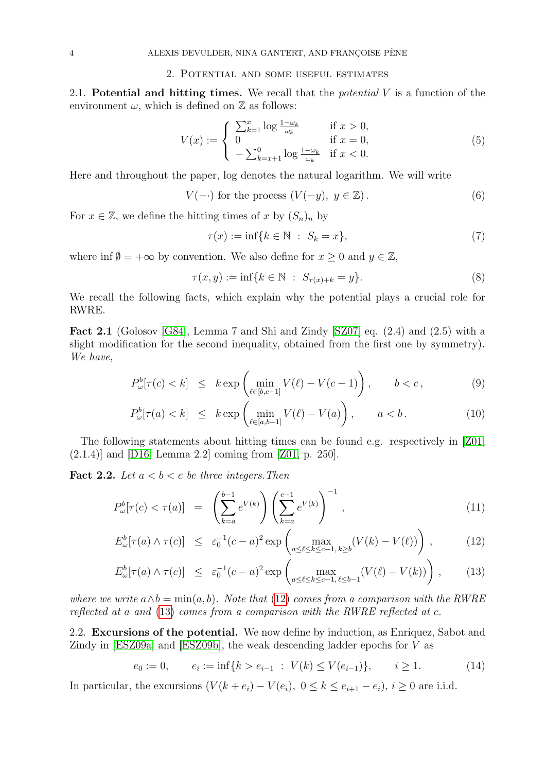### 2. Potential and some useful estimates

<span id="page-3-0"></span>2.1. Potential and hitting times. We recall that the *potential*  $V$  is a function of the environment  $\omega$ , which is defined on  $\mathbb Z$  as follows:

<span id="page-3-5"></span>
$$
V(x) := \begin{cases} \sum_{k=1}^{x} \log \frac{1 - \omega_k}{\omega_k} & \text{if } x > 0, \\ 0 & \text{if } x = 0, \\ -\sum_{k=x+1}^{0} \log \frac{1 - \omega_k}{\omega_k} & \text{if } x < 0. \end{cases}
$$
(5)

Here and throughout the paper, log denotes the natural logarithm. We will write

<span id="page-3-2"></span>
$$
V(-.) \text{ for the process } (V(-y), y \in \mathbb{Z}). \tag{6}
$$

For  $x \in \mathbb{Z}$ , we define the hitting times of x by  $(S_n)_n$  by

$$
\tau(x) := \inf\{k \in \mathbb{N} \ : \ S_k = x\},\tag{7}
$$

where inf  $\emptyset = +\infty$  by convention. We also define for  $x \geq 0$  and  $y \in \mathbb{Z}$ ,

$$
\tau(x, y) := \inf\{k \in \mathbb{N} \; : \; S_{\tau(x) + k} = y\}.
$$
 (8)

We recall the following facts, which explain why the potential plays a crucial role for RWRE.

<span id="page-3-4"></span>**Fact 2.1** (Golosov [\[G84\]](#page-24-20), Lemma 7 and Shi and Zindy [\[SZ07\]](#page-25-2) eq.  $(2.4)$  and  $(2.5)$  with a slight modification for the second inequality, obtained from the first one by symmetry). We have,

$$
P_{\omega}^{b}[\tau(c) < k] \leq k \exp\left(\min_{\ell \in [b, c-1]} V(\ell) - V(c-1)\right), \qquad b < c,\tag{9}
$$

$$
P_{\omega}^{b}[\tau(a) < k] \leq k \exp\left(\min_{\ell \in [a, b-1]} V(\ell) - V(a)\right), \qquad a < b. \tag{10}
$$

The following statements about hitting times can be found e.g. respectively in [\[Z01,](#page-25-0) (2.1.4)] and [\[D16,](#page-24-21) Lemma 2.2] coming from [\[Z01,](#page-25-0) p. 250].

**Fact 2.2.** Let  $a < b < c$  be three integers. Then

<span id="page-3-1"></span>
$$
P_{\omega}^{b}[\tau(c) < \tau(a)] = \left(\sum_{k=a}^{b-1} e^{V(k)}\right) \left(\sum_{k=a}^{c-1} e^{V(k)}\right)^{-1},\tag{11}
$$

$$
E_{\omega}^{b}[\tau(a)\wedge\tau(c)] \leq \varepsilon_{0}^{-1}(c-a)^{2} \exp\left(\max_{a\leq\ell\leq k\leq c-1,\,k\geq b}(V(k)-V(\ell))\right),\tag{12}
$$

$$
E_{\omega}^b[\tau(a)\wedge\tau(c)] \leq \varepsilon_0^{-1}(c-a)^2 \exp\left(\max_{a\leq\ell\leq k\leq c-1,\,\ell\leq b-1} (V(\ell)-V(k))\right),\tag{13}
$$

where we write  $a \wedge b = \min(a, b)$ . Note that [\(12\)](#page-3-1) comes from a comparison with the RWRE reflected at a and [\(13\)](#page-3-1) comes from a comparison with the RWRE reflected at c.

2.2. Excursions of the potential. We now define by induction, as Enriquez, Sabot and Zindy in [\[ESZ09a\]](#page-24-16) and [\[ESZ09b\]](#page-24-17), the weak descending ladder epochs for V as

<span id="page-3-3"></span>
$$
e_0 := 0, \qquad e_i := \inf\{k > e_{i-1} \; : \; V(k) \le V(e_{i-1})\}, \qquad i \ge 1. \tag{14}
$$

In particular, the excursions  $(V(k + e_i) - V(e_i), 0 \le k \le e_{i+1} - e_i), i \ge 0$  are i.i.d.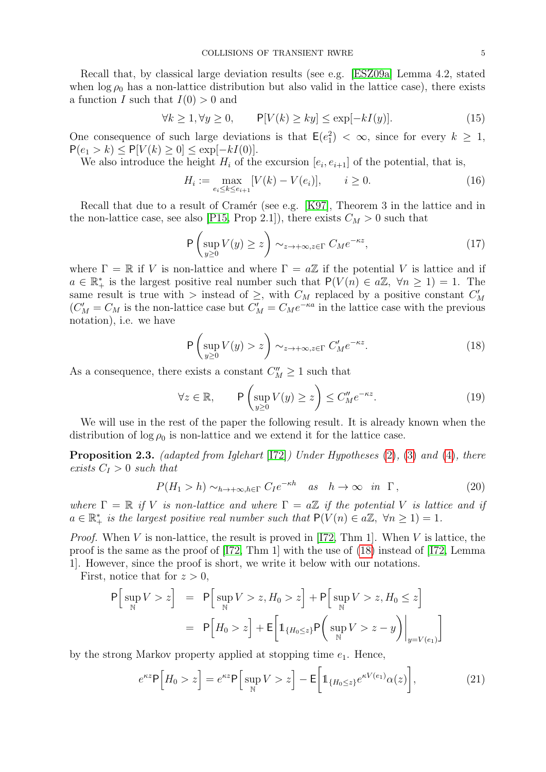Recall that, by classical large deviation results (see e.g. [\[ESZ09a\]](#page-24-16) Lemma 4.2, stated when  $\log \rho_0$  has a non-lattice distribution but also valid in the lattice case), there exists a function I such that  $I(0) > 0$  and

<span id="page-4-5"></span>
$$
\forall k \ge 1, \forall y \ge 0, \qquad \mathsf{P}[V(k) \ge ky] \le \exp[-kI(y)]. \tag{15}
$$

One consequence of such large deviations is that  $\mathsf{E}(e_1^2) < \infty$ , since for every  $k \geq 1$ ,  $P(e_1 > k) \leq P[V(k) \geq 0] \leq \exp[-kI(0)].$ 

We also introduce the height  $H_i$  of the excursion  $[e_i, e_{i+1}]$  of the potential, that is,

<span id="page-4-6"></span>
$$
H_i := \max_{e_i \le k \le e_{i+1}} [V(k) - V(e_i)], \qquad i \ge 0.
$$
 (16)

Recall that due to a result of Cramér (see e.g. [\[K97\]](#page-24-22), Theorem 3 in the lattice and in the non-lattice case, see also [\[P15,](#page-24-23) Prop 2.1]), there exists  $C_M > 0$  such that

$$
\mathsf{P}\left(\sup_{y\geq 0} V(y) \geq z\right) \sim_{z\to+\infty, z\in\Gamma} C_M e^{-\kappa z},\tag{17}
$$

where  $\Gamma = \mathbb{R}$  if V is non-lattice and where  $\Gamma = a\mathbb{Z}$  if the potential V is lattice and if  $a \in \mathbb{R}_+^*$  is the largest positive real number such that  $P(V(n) \in a\mathbb{Z}, \forall n \geq 1) = 1$ . The same result is true with  $>$  instead of  $\geq$ , with  $C_M$  replaced by a positive constant  $C_M$  $(C_M' = C_M$  is the non-lattice case but  $C_M' = C_M e^{-\kappa a}$  in the lattice case with the previous notation), i.e. we have

<span id="page-4-0"></span>
$$
\mathsf{P}\left(\sup_{y\geq 0} V(y) > z\right) \sim_{z\to+\infty, z\in\Gamma} C'_M e^{-\kappa z}.\tag{18}
$$

As a consequence, there exists a constant  $C_M'' \geq 1$  such that

<span id="page-4-1"></span>
$$
\forall z \in \mathbb{R}, \qquad \mathsf{P}\left(\sup_{y \ge 0} V(y) \ge z\right) \le C''_M e^{-\kappa z}.\tag{19}
$$

We will use in the rest of the paper the following result. It is already known when the distribution of  $\log \rho_0$  is non-lattice and we extend it for the lattice case.

<span id="page-4-4"></span>Proposition 2.3. (adapted from Iglehart [\[I72\]](#page-24-24)) Under Hypotheses [\(2\)](#page-1-2), [\(3\)](#page-1-0) and [\(4\)](#page-1-1), there exists  $C_I > 0$  such that

<span id="page-4-3"></span>
$$
P(H_1 > h) \sim_{h \to +\infty, h \in \Gamma} C_I e^{-\kappa h} \quad \text{as} \quad h \to \infty \quad \text{in} \quad \Gamma \,, \tag{20}
$$

where  $\Gamma = \mathbb{R}$  if V is non-lattice and where  $\Gamma = a\mathbb{Z}$  if the potential V is lattice and if  $a \in \mathbb{R}_+^*$  is the largest positive real number such that  $P(V(n) \in a\mathbb{Z}, \forall n \geq 1) = 1$ .

*Proof.* When V is non-lattice, the result is proved in [\[I72,](#page-24-24) Thm 1]. When V is lattice, the proof is the same as the proof of [\[I72,](#page-24-24) Thm 1] with the use of [\(18\)](#page-4-0) instead of [\[I72,](#page-24-24) Lemma 1]. However, since the proof is short, we write it below with our notations.

First, notice that for  $z > 0$ ,

$$
P\Big[\sup_{N} V > z\Big] = P\Big[\sup_{N} V > z, H_0 > z\Big] + P\Big[\sup_{N} V > z, H_0 \le z\Big]
$$
  
= 
$$
P\Big[H_0 > z\Big] + E\Big[\mathbb{1}_{\{H_0 \le z\}} P\Big(\sup_{N} V > z - y\Big)\Big|_{y=V(e_1)}\Big]
$$

by the strong Markov property applied at stopping time  $e_1$ . Hence,

<span id="page-4-2"></span>
$$
e^{\kappa z} \mathsf{P}\Big[H_0 > z\Big] = e^{\kappa z} \mathsf{P}\Big[\sup_{\mathbb{N}} V > z\Big] - \mathsf{E}\Big[\mathbb{1}_{\{H_0 \le z\}} e^{\kappa V(e_1)} \alpha(z)\Big],\tag{21}
$$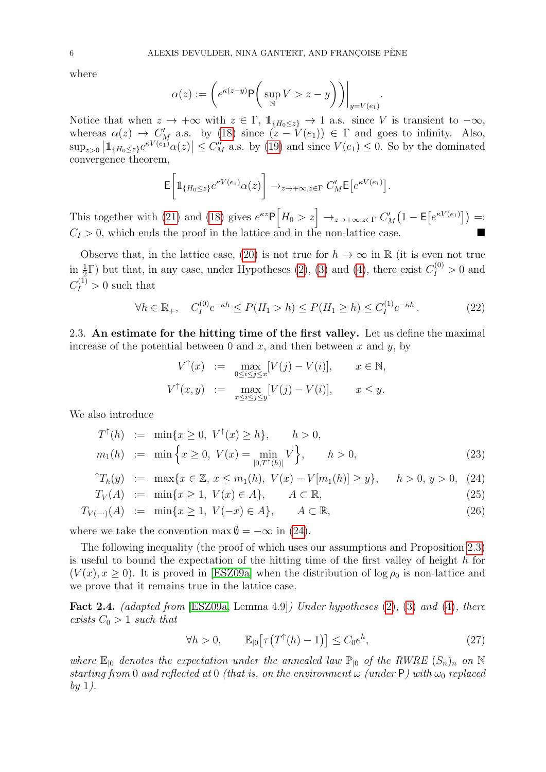where

$$
\alpha(z) := \left( e^{\kappa(z-y)} \mathsf{P}\left(\sup_{\mathbb{N}} V > z - y \right) \right)\Big|_{y = V(e_1)}
$$

.

Notice that when  $z \to +\infty$  with  $z \in \Gamma$ ,  $\mathbb{1}_{\{H_0 \leq z\}} \to 1$  a.s. since V is transient to  $-\infty$ , whereas  $\alpha(z) \to C_M'$  a.s. by [\(18\)](#page-4-0) since  $(z - V(e_1)) \in \Gamma$  and goes to infinity. Also,  $\sup_{z>0} \left| 1_{\{H_0 \leq z\}} e^{\kappa V(e_1)} \alpha(z) \right| \leq C_M''$  a.s. by [\(19\)](#page-4-1) and since  $V(e_1) \leq 0$ . So by the dominated convergence theorem,

$$
\mathsf{E}\bigg[\mathbb{1}_{\{H_0\leq z\}}e^{\kappa V(e_1)}\alpha(z)\bigg]\to_{z\to+\infty,z\in\Gamma}C'_M\mathsf{E}\big[e^{\kappa V(e_1)}\big].
$$

This together with [\(21\)](#page-4-2) and [\(18\)](#page-4-0) gives  $e^{\kappa z} \mathsf{P}\left[H_0 > z\right] \to_{z \to +\infty, z \in \Gamma} C'_M\left(1 - \mathsf{E}\left[e^{\kappa V(e_1)}\right]\right) =:$  $C_I > 0$ , which ends the proof in the lattice and in the non-lattice case.

Observe that, in the lattice case, [\(20\)](#page-4-3) is not true for  $h \to \infty$  in R (it is even not true in  $\frac{1}{2}\Gamma$ ) but that, in any case, under Hypotheses [\(2\)](#page-1-2), [\(3\)](#page-1-0) and [\(4\)](#page-1-1), there exist  $C_I^{(0)} > 0$  and  $C_I^{(1)} > 0$  such that

<span id="page-5-2"></span>
$$
\forall h \in \mathbb{R}_+, \quad C_I^{(0)} e^{-\kappa h} \le P(H_1 > h) \le P(H_1 \ge h) \le C_I^{(1)} e^{-\kappa h} \,. \tag{22}
$$

2.3. An estimate for the hitting time of the first valley. Let us define the maximal increase of the potential between 0 and x, and then between x and  $y$ , by

$$
V^{\uparrow}(x) := \max_{0 \le i \le j \le x} [V(j) - V(i)], \quad x \in \mathbb{N},
$$
  

$$
V^{\uparrow}(x, y) := \max_{x \le i \le j \le y} [V(j) - V(i)], \quad x \le y.
$$

We also introduce

<span id="page-5-0"></span>
$$
T^{\uparrow}(h) := \min\{x \ge 0, V^{\uparrow}(x) \ge h\}, \quad h > 0,
$$
  
\n
$$
m_1(h) := \min\left\{x \ge 0, V(x) = \min_{[0,T^{\uparrow}(h)]} V\right\}, \quad h > 0,
$$
\n(23)

$$
^{\uparrow}T_h(y) := \max\{x \in \mathbb{Z}, x \le m_1(h), V(x) - V[m_1(h)] \ge y\}, \quad h > 0, y > 0, (24)
$$
  

$$
T_V(A) := \min\{x \ge 1, V(x) \in A\}, \quad A \subset \mathbb{R}.
$$
 (25)

$$
T_{V(-)}(A) := \min\{x \ge 1, \ V(-x) \in A\}, \qquad A \subset \mathbb{R}, \tag{26}
$$

where we take the convention 
$$
\max \emptyset = -\infty
$$
 in (24).

The following inequality (the proof of which uses our assumptions and Proposition [2.3\)](#page-4-4) is useful to bound the expectation of the hitting time of the first valley of height  $h$  for  $(V(x), x \ge 0)$ . It is proved in [\[ESZ09a\]](#page-24-16) when the distribution of log  $\rho_0$  is non-lattice and we prove that it remains true in the lattice case.

<span id="page-5-3"></span>Fact 2.4. (adapted from [\[ESZ09a,](#page-24-16) Lemma 4.9]) Under hypotheses [\(2\)](#page-1-2), [\(3\)](#page-1-0) and [\(4\)](#page-1-1), there exists  $C_0 > 1$  such that

<span id="page-5-1"></span>
$$
\forall h > 0, \qquad \mathbb{E}_{\vert 0} \big[ \tau \big( T^{\uparrow}(h) - 1 \big) \big] \le C_0 e^h,\tag{27}
$$

where  $\mathbb{E}_{0}$  denotes the expectation under the annealed law  $\mathbb{P}_{0}$  of the RWRE  $(S_n)_n$  on N starting from 0 and reflected at 0 (that is, on the environment  $\omega$  (under P) with  $\omega_0$  replaced  $by 1$ ).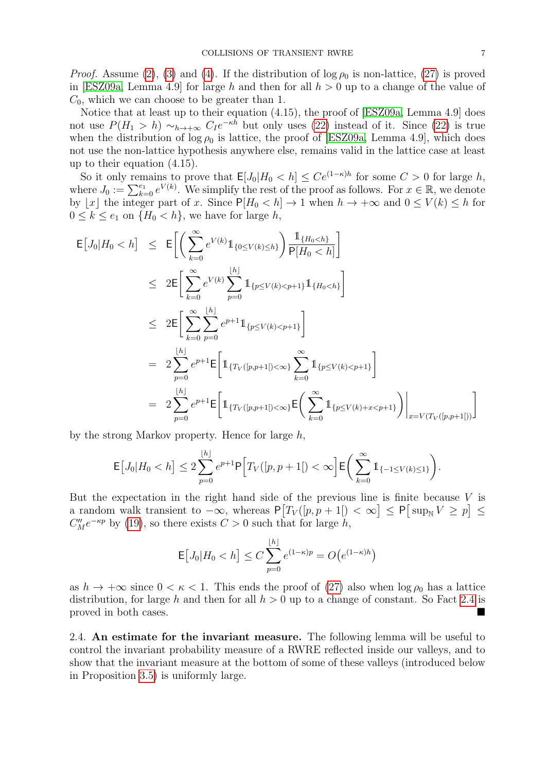*Proof.* Assume [\(2\)](#page-1-2), [\(3\)](#page-1-0) and [\(4\)](#page-1-1). If the distribution of  $\log \rho_0$  is non-lattice, [\(27\)](#page-5-1) is proved in [\[ESZ09a,](#page-24-16) Lemma 4.9] for large h and then for all  $h > 0$  up to a change of the value of  $C_0$ , which we can choose to be greater than 1.

Notice that at least up to their equation (4.15), the proof of [\[ESZ09a,](#page-24-16) Lemma 4.9] does not use  $P(H_1 > h) \sim_{h \to +\infty} C_I e^{-\kappa h}$  but only uses [\(22\)](#page-5-2) instead of it. Since (22) is true when the distribution of  $\log \rho_0$  is lattice, the proof of [\[ESZ09a,](#page-24-16) Lemma 4.9], which does not use the non-lattice hypothesis anywhere else, remains valid in the lattice case at least up to their equation (4.15).

So it only remains to prove that  $\mathsf{E}[J_0|H_0 < h] \le Ce^{(1-\kappa)h}$  for some  $C > 0$  for large h, where  $J_0 := \sum_{k=0}^{e_1} e^{V(k)}$ . We simplify the rest of the proof as follows. For  $x \in \mathbb{R}$ , we denote by  $\lfloor x \rfloor$  the integer part of x. Since  $P[H_0 < h] \to 1$  when  $h \to +\infty$  and  $0 \le V(k) \le h$  for  $0 \leq k \leq e_1$  on  $\{H_0 < h\}$ , we have for large h,

$$
\begin{array}{lcl} \mathsf{E}\big[J_0|H_0
$$

by the strong Markov property. Hence for large h,

$$
\mathsf{E}\big[J_0|H_0 < h\big] \leq 2\sum_{p=0}^{\lfloor h \rfloor} e^{p+1} \mathsf{P}\Big[T_V([p, p+1[) < \infty\Big] \mathsf{E}\bigg(\sum_{k=0}^{\infty} \mathbb{1}_{\{-1 \leq V(k) \leq 1\}}\bigg).
$$

But the expectation in the right hand side of the previous line is finite because  $V$  is a random walk transient to  $-\infty$ , whereas  $P[T_V([p, p+1]) < \infty] \le P[\sup_N V \ge p] \le$  $C''_M e^{-\kappa p}$  by [\(19\)](#page-4-1), so there exists  $C > 0$  such that for large h,

$$
\mathsf{E}[J_0|H_0 < h] \le C \sum_{p=0}^{\lfloor h \rfloor} e^{(1-\kappa)p} = O(e^{(1-\kappa)h})
$$

as  $h \to +\infty$  since  $0 < \kappa < 1$ . This ends the proof of [\(27\)](#page-5-1) also when  $\log \rho_0$  has a lattice distribution, for large h and then for all  $h > 0$  up to a change of constant. So Fact [2.4](#page-5-3) is proved in both cases.

2.4. An estimate for the invariant measure. The following lemma will be useful to control the invariant probability measure of a RWRE reflected inside our valleys, and to show that the invariant measure at the bottom of some of these valleys (introduced below in Proposition [3.5\)](#page-14-0) is uniformly large.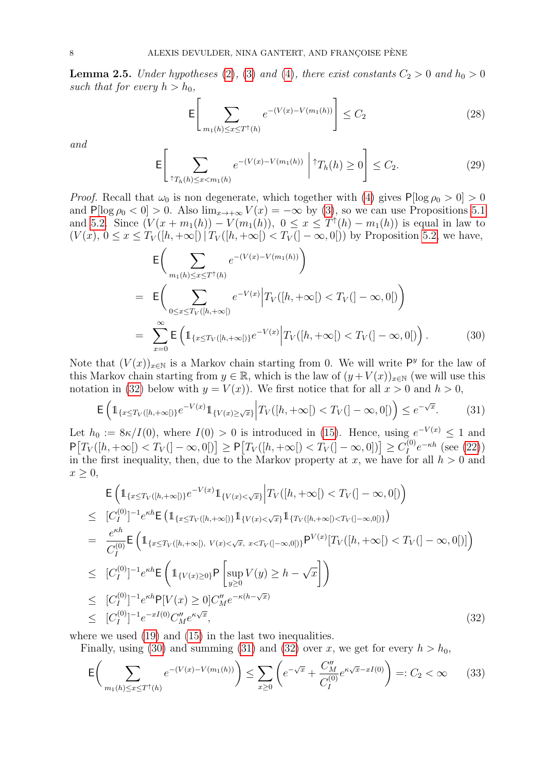<span id="page-7-0"></span>**Lemma 2.5.** Under hypotheses [\(2\)](#page-1-2), [\(3\)](#page-1-0) and [\(4\)](#page-1-1), there exist constants  $C_2 > 0$  and  $h_0 > 0$ such that for every  $h > h_0$ ,

<span id="page-7-4"></span>
$$
\mathsf{E}\left[\sum_{m_1(h)\leq x\leq T^\dagger(h)} e^{-(V(x)-V(m_1(h))}\right] \leq C_2\tag{28}
$$

and

<span id="page-7-5"></span>
$$
\mathsf{E}\left[\sum_{\uparrow T_h(h)\leq x < m_1(h)} e^{-(V(x)-V(m_1(h)))} \middle| \uparrow T_h(h) \geq 0\right] \leq C_2. \tag{29}
$$

*Proof.* Recall that  $\omega_0$  is non degenerate, which together with [\(4\)](#page-1-1) gives  $P[\log \rho_0 > 0] > 0$ and  $P[\log \rho_0 < 0] > 0$ . Also  $\lim_{x\to+\infty} V(x) = -\infty$  by [\(3\)](#page-1-0), so we can use Propositions [5.1](#page-21-1) and [5.2.](#page-22-0) Since  $(V(x + m_1(h)) - V(m_1(h)), 0 \le x \le T^{\dagger}(h) - m_1(h))$  is equal in law to  $(V(x), 0 \leq x \leq T_V([h,+\infty[) | T_V([h,+\infty[) < T_V(-\infty,0[))$  by Proposition [5.2,](#page-22-0) we have,

<span id="page-7-2"></span>
$$
\mathsf{E}\bigg(\sum_{m_1(h)\leq x\leq T^{\dagger}(h)}e^{-(V(x)-V(m_1(h))}\bigg)
$$
\n
$$
=\mathsf{E}\bigg(\sum_{0\leq x\leq T_V([h,+\infty[)}e^{-V(x)}\Big|T_V([h,+\infty[)\n
$$
=\sum_{x=0}^{\infty}\mathsf{E}\left(\mathbb{1}_{\{x\leq T_V([h,+\infty[])}e^{-V(x)}\Big|T_V([h,+\infty[)\n(30)
$$
$$

Note that  $(V(x))_{x\in\mathbb{N}}$  is a Markov chain starting from 0. We will write P<sup>y</sup> for the law of this Markov chain starting from  $y \in \mathbb{R}$ , which is the law of  $(y + V(x))_{x \in \mathbb{N}}$  (we will use this notation in [\(32\)](#page-7-1) below with  $y = V(x)$ ). We first notice that for all  $x > 0$  and  $h > 0$ ,

<span id="page-7-3"></span>
$$
\mathsf{E}\left(\mathbb{1}_{\{x\leq T_V([h,+\infty[)\}}e^{-V(x)}\mathbb{1}_{\{V(x)\geq\sqrt{x}\}}\Big|T_V([h,+\infty[)
$$

Let  $h_0 := 8\kappa/I(0)$ , where  $I(0) > 0$  is introduced in [\(15\)](#page-4-5). Hence, using  $e^{-V(x)} \leq 1$  and  $P[T_V([h,+\infty[) < T_V(]-\infty,0[)]] \geq P[T_V([h,+\infty[) < T_V(]-\infty,0])]] \geq C_I^{(0)}$  $I_I^{(0)}e^{-\kappa h}$  (see [\(22\)](#page-5-2)) in the first inequality, then, due to the Markov property at x, we have for all  $h > 0$  and  $x \geq 0$ ,

<span id="page-7-1"></span>
$$
\begin{split}\n& \mathsf{E}\left(\mathbb{1}_{\{x\leq T_V([h,+\infty[)\}}e^{-V(x)}\mathbb{1}_{\{V(x)<\sqrt{x}\}}\Big|T_V([h,+\infty[)
$$

where we used  $(19)$  and  $(15)$  in the last two inequalities.

Finally, using [\(30\)](#page-7-2) and summing [\(31\)](#page-7-3) and [\(32\)](#page-7-1) over x, we get for every  $h > h_0$ ,

$$
\mathsf{E}\bigg(\sum_{m_1(h)\leq x\leq T^{\uparrow}(h)} e^{-(V(x)-V(m_1(h))}\bigg) \leq \sum_{x\geq 0} \bigg(e^{-\sqrt{x}} + \frac{C''_M}{C_1^{(0)}} e^{\kappa \sqrt{x} - xI(0)}\bigg) =: C_2 < \infty \tag{33}
$$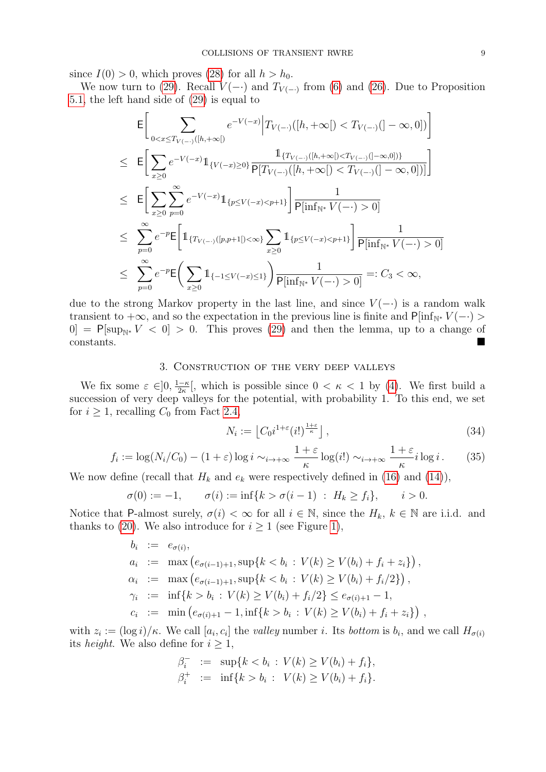since  $I(0) > 0$ , which proves [\(28\)](#page-7-4) for all  $h > h_0$ .

We now turn to [\(29\)](#page-7-5). Recall  $V(-)$  and  $T_{V(-)}$  from [\(6\)](#page-3-2) and [\(26\)](#page-5-0). Due to Proposition [5.1,](#page-21-1) the left hand side of [\(29\)](#page-7-5) is equal to

$$
\begin{split}\n&= \Bigg[ \sum_{0 < x \le T_{V(-\cdot)}([h,+\infty[)} e^{-V(-x)} \Big| T_{V(-\cdot)}([h,+\infty[) < T_{V(-\cdot)}(]-\infty,0]) \Bigg] \\
&\le E \Bigg[ \sum_{x \ge 0} e^{-V(-x)} \mathbb{1}_{\{V(-x) \ge 0\}} \frac{\mathbb{1}_{\{T_{V(-\cdot)}([h,+\infty[) < T_{V(-\cdot)}([-0,0])\} - \mathbb{1}_{\{F_{V(-\cdot)}([h,+\infty[) \le T_{V(-\cdot)}([-0,0])\} - \mathbb{1}_{\{F_{V(-\cdot)}([h,+\infty[) \le T_{V(-\cdot)}([-0,0,0])\} - \mathbb{1}_{\{F_{V(-\cdot)}([h,+\infty[) \le T_{V(-\cdot)}[-0,0])\} - \mathbb{1}_{\{F_{V(-\cdot)}([h,+\infty[) < \infty\}} \mathbb{1}_{\{F_{V(-\cdot)}([h,+\infty[] < \infty\}}) \frac{1}{\mathbb{P}[\inf_{\mathbb{N}^*} V(-\cdot) > 0]} \\
&\le \sum_{p=0}^{\infty} e^{-p} \mathbb{E} \Bigg( \sum_{x \ge 0} \mathbb{1}_{\{-1 \le V(-x) \le 1\}} \Bigg) \frac{1}{\mathbb{P}[\inf_{\mathbb{N}^*} V(-\cdot) > 0]} =: C_3 < \infty,\n\end{split}
$$

due to the strong Markov property in the last line, and since  $V(-)$  is a random walk transient to  $+\infty$ , and so the expectation in the previous line is finite and P[inf<sub>N</sub>∗  $V(-)$ )  $[0] = \mathsf{P}[\sup_{\mathbb{N}^*} V < 0] > 0.$  This proves [\(29\)](#page-7-5) and then the lemma, up to a change of constants.

## 3. Construction of the very deep valleys

<span id="page-8-0"></span>We fix some  $\varepsilon \in ]0, \frac{1-\kappa}{2\kappa}$  $\frac{1-\kappa}{2\kappa}$ , which is possible since  $0 < \kappa < 1$  by [\(4\)](#page-1-1). We first build a succession of very deep valleys for the potential, with probability 1. To this end, we set for  $i \geq 1$ , recalling  $C_0$  from Fact [2.4,](#page-5-3)

<span id="page-8-2"></span>
$$
N_i := \left\lfloor C_0 i^{1+\varepsilon} (i!)^{\frac{1+\varepsilon}{\kappa}} \right\rfloor,\tag{34}
$$

<span id="page-8-1"></span>
$$
f_i := \log(N_i/C_0) - (1+\varepsilon)\log i \sim_{i \to +\infty} \frac{1+\varepsilon}{\kappa} \log(i!) \sim_{i \to +\infty} \frac{1+\varepsilon}{\kappa} i \log i. \tag{35}
$$

We now define (recall that  $H_k$  and  $e_k$  were respectively defined in [\(16\)](#page-4-6) and [\(14\)](#page-3-3)),

$$
\sigma(0) := -1, \qquad \sigma(i) := \inf\{k > \sigma(i-1) \; : \; H_k \ge f_i\}, \qquad i > 0.
$$

Notice that P-almost surely,  $\sigma(i) < \infty$  for all  $i \in \mathbb{N}$ , since the  $H_k$ ,  $k \in \mathbb{N}$  are i.i.d. and thanks to [\(20\)](#page-4-3). We also introduce for  $i \geq 1$  (see Figure [1\)](#page-9-0),

$$
b_i := e_{\sigma(i)},
$$
  
\n
$$
a_i := \max(e_{\sigma(i-1)+1}, \sup\{k < b_i : V(k) \ge V(b_i) + f_i + z_i\}),
$$
  
\n
$$
\alpha_i := \max(e_{\sigma(i-1)+1}, \sup\{k < b_i : V(k) \ge V(b_i) + f_i/2\}),
$$
  
\n
$$
\gamma_i := \inf\{k > b_i : V(k) \ge V(b_i) + f_i/2\} \le e_{\sigma(i)+1} - 1,
$$
  
\n
$$
c_i := \min(e_{\sigma(i)+1} - 1, \inf\{k > b_i : V(k) \ge V(b_i) + f_i + z_i\}),
$$

with  $z_i := (\log i)/\kappa$ . We call  $[a_i, c_i]$  the valley number i. Its bottom is  $b_i$ , and we call  $H_{\sigma(i)}$ its *height*. We also define for  $i \geq 1$ ,

$$
\beta_i^- := \sup \{ k < b_i : V(k) \ge V(b_i) + f_i \},
$$
\n
$$
\beta_i^+ := \inf \{ k > b_i : V(k) \ge V(b_i) + f_i \}.
$$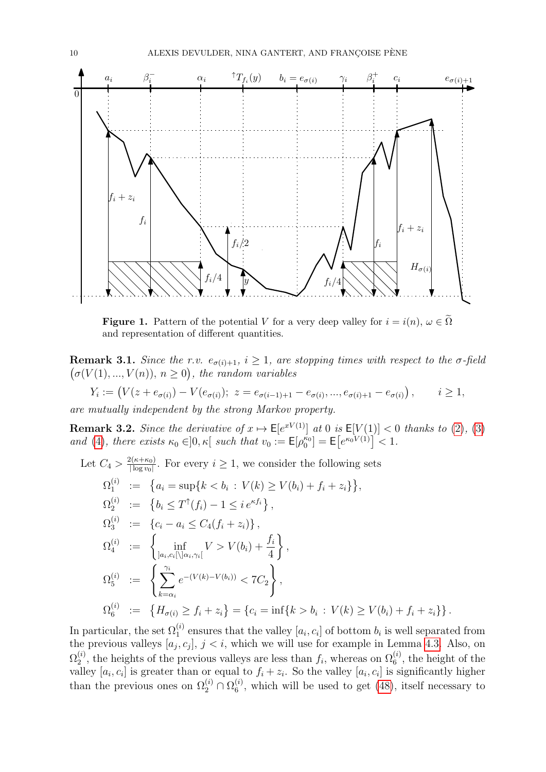<span id="page-9-0"></span>

**Figure 1.** Pattern of the potential V for a very deep valley for  $i = i(n)$ ,  $\omega \in \tilde{\Omega}$ and representation of different quantities.

<span id="page-9-2"></span>**Remark 3.1.** Since the r.v.  $e_{\sigma(i)+1}$ ,  $i \geq 1$ , are stopping times with respect to the  $\sigma$ -field  $(\sigma(V(1),...,V(n)), n \geq 0)$ , the random variables

$$
Y_i := (V(z + e_{\sigma(i)}) - V(e_{\sigma(i)}); \ z = e_{\sigma(i-1)+1} - e_{\sigma(i)}, \dots, e_{\sigma(i)+1} - e_{\sigma(i)}), \qquad i \geq 1,
$$

are mutually independent by the strong Markov property.

<span id="page-9-1"></span>**Remark 3.2.** Since the derivative of  $x \mapsto \mathsf{E}[e^{xV(1)}]$  at 0 is  $\mathsf{E}[V(1)] < 0$  thanks to [\(2\)](#page-1-2), [\(3\)](#page-1-0) and [\(4\)](#page-1-1), there exists  $\kappa_0 \in ]0, \kappa[$  such that  $v_0 := \mathsf{E}[\rho_0^{\kappa_0}] = \mathsf{E}[e^{\kappa_0 V(1)}] < 1$ .

Let 
$$
C_4 > \frac{2(\kappa + \kappa_0)}{|\log v_0|}
$$
. For every  $i \ge 1$ , we consider the following sets  
\n
$$
\Omega_1^{(i)} := \{a_i = \sup\{k < b_i : V(k) \ge V(b_i) + f_i + z_i\}\},
$$
\n
$$
\Omega_2^{(i)} := \{b_i \le T^\uparrow(f_i) - 1 \le i e^{\kappa f_i}\},
$$
\n
$$
\Omega_3^{(i)} := \{c_i - a_i \le C_4(f_i + z_i)\},
$$
\n
$$
\Omega_4^{(i)} := \left\{\inf_{|a_i, c_i| \setminus |a_i, \gamma_i|} V > V(b_i) + \frac{f_i}{4}\right\},
$$
\n
$$
\Omega_5^{(i)} := \left\{\sum_{k=\alpha_i}^{\gamma_i} e^{-(V(k) - V(b_i))} < 7C_2\right\},
$$
\n
$$
\Omega_6^{(i)} := \{H_{\sigma(i)} \ge f_i + z_i\} = \{c_i = \inf\{k > b_i : V(k) \ge V(b_i) + f_i + z_i\} \}.
$$

In particular, the set  $\Omega_1^{(i)}$  ensures that the valley  $[a_i, c_i]$  of bottom  $b_i$  is well separated from the previous valleys  $[a_j, c_j]$ ,  $j < i$ , which we will use for example in Lemma [4.3.](#page-16-0) Also, on  $\Omega_2^{(i)}$  $2^{(i)}$ , the heights of the previous valleys are less than  $f_i$ , whereas on  $\Omega_6^{(i)}$ , the height of the valley  $[a_i, c_i]$  is greater than or equal to  $f_i + z_i$ . So the valley  $[a_i, c_i]$  is significantly higher than the previous ones on  $\Omega_2^{(i)} \cap \Omega_6^{(i)}$  $\binom{1}{6}$ , which will be used to get [\(48\)](#page-14-1), itself necessary to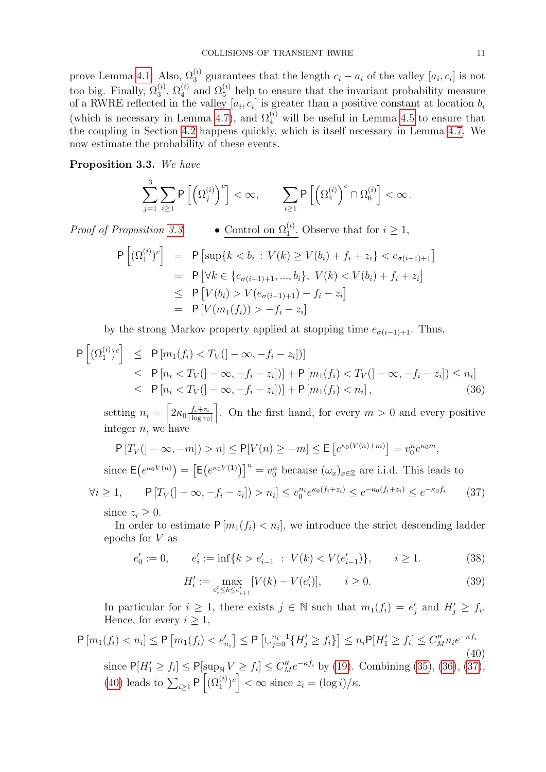prove Lemma [4.1.](#page-15-0) Also,  $\Omega_3^{(i)}$  guarantees that the length  $c_i - a_i$  of the valley  $[a_i, c_i]$  is not too big. Finally,  $\Omega_3^{(i)}$ ,  $\Omega_4^{(i)}$  and  $\Omega_5^{(i)}$  help to ensure that the invariant probability measure of a RWRE reflected in the valley  $[a_i, c_i]$  is greater than a positive constant at location  $b_i$ (which is necessary in Lemma [4.7\)](#page-19-1), and  $\Omega_4^{(i)}$  will be useful in Lemma [4.5](#page-18-0) to ensure that the coupling in Section [4.2](#page-17-0) happens quickly, which is itself necessary in Lemma [4.7.](#page-19-1) We now estimate the probability of these events.

# <span id="page-10-0"></span>Proposition 3.3. We have

$$
\sum_{j=1}^3\sum_{i\geq 1}{\sf P}\left[\left(\Omega_j^{(i)}\right)^c\right]<\infty,\qquad \sum_{i\geq 1}{\sf P}\left[\left(\Omega_4^{(i)}\right)^c\cap\Omega_6^{(i)}\right]<\infty\,.
$$

Proof of Proposition [3.3.](#page-10-0) • Control on  $\Omega_1^{(i)}$ . Observe that for  $i \geq 1$ ,

$$
P[(\Omega_1^{(i)})^c] = P[\sup\{k < b_i : V(k) \ge V(b_i) + f_i + z_i\} < e_{\sigma(i-1)+1}]
$$
\n
$$
= P[\forall k \in \{e_{\sigma(i-1)+1}, ..., b_i\}, V(k) < V(b_i) + f_i + z_i]
$$
\n
$$
\le P[V(b_i) > V(e_{\sigma(i-1)+1}) - f_i - z_i]
$$
\n
$$
= P[V(m_1(f_i)) > -f_i - z_i]
$$

by the strong Markov property applied at stopping time  $e_{\sigma(i-1)+1}$ . Thus,

<span id="page-10-1"></span>
$$
P[(\Omega_1^{(i)})^c] \leq P[m_1(f_i) < T_V(]-\infty, -f_i - z_i])]
$$
\n
$$
\leq P[n_i < T_V(]-\infty, -f_i - z_i]) + P[m_1(f_i) < T_V(]-\infty, -f_i - z_i]) \leq n_i]
$$
\n
$$
\leq P[n_i < T_V(]-\infty, -f_i - z_i]) + P[m_1(f_i) < n_i], \tag{36}
$$

setting  $n_i = \left[2\kappa_0 \frac{f_i + z_i}{\log w_i}\right]$  $|\log v_0|$ . On the first hand, for every  $m > 0$  and every positive integer  $n$ , we have

$$
P[T_V(]-\infty,-m]) > n] \le P[V(n) \ge -m] \le E[e^{\kappa_0(V(n)+m)}] = v_0^n e^{\kappa_0 m},
$$

since  $\mathsf{E}(e^{\kappa_0 V(n)}) = \left[\mathsf{E}(e^{\kappa_0 V(1)})\right]^n = v_0^n$  because  $(\omega_x)_{x \in \mathbb{Z}}$  are i.i.d. This leads to

<span id="page-10-2"></span>
$$
\forall i \ge 1, \qquad \mathsf{P}[T_V(|-\infty, -f_i - z_i]) > n_i] \le v_0^{n_i} e^{\kappa_0(f_i + z_i)} \le e^{-\kappa_0(f_i + z_i)} \le e^{-\kappa_0 f_i} \tag{37}
$$

since  $z_i \geq 0$ .

In order to estimate  $P[m_1(f_i) < n_i]$ , we introduce the strict descending ladder epochs for V as

<span id="page-10-4"></span>
$$
e'_0 := 0, \qquad e'_i := \inf\{k > e'_{i-1} \; : \; V(k) < V(e'_{i-1})\}, \qquad i \ge 1. \tag{38}
$$

<span id="page-10-5"></span>
$$
H'_{i} := \max_{e'_{i} \le k \le e'_{i+1}} [V(k) - V(e'_{i})], \qquad i \ge 0.
$$
 (39)

In particular for  $i \geq 1$ , there exists  $j \in \mathbb{N}$  such that  $m_1(f_i) = e'_j$  and  $H'_j \geq f_i$ . Hence, for every  $i \geq 1$ ,

<span id="page-10-3"></span>
$$
\mathsf{P}\left[m_{1}(f_{i}) < n_{i}\right] \leq \mathsf{P}\left[m_{1}(f_{i}) < e'_{n_{i}}\right] \leq \mathsf{P}\left[\cup_{j=0}^{n_{i}-1} \{H'_{j} \geq f_{i}\}\right] \leq n_{i}\mathsf{P}[H'_{1} \geq f_{i}] \leq C''_{M}n_{i}e^{-\kappa f_{i}} \tag{40}
$$

since  $P[H'_1 \ge f_i] \le P[\sup_{N} V \ge f_i] \le C''_M e^{-\kappa f_i}$  by [\(19\)](#page-4-1). Combining [\(35\)](#page-8-1), [\(36\)](#page-10-1), [\(37\)](#page-10-2), [\(40\)](#page-10-3) leads to  $\sum_{i\geq 1} P\left[ (\Omega_1^{(i)})^c \right] < \infty$  since  $z_i = (\log i)/\kappa$ .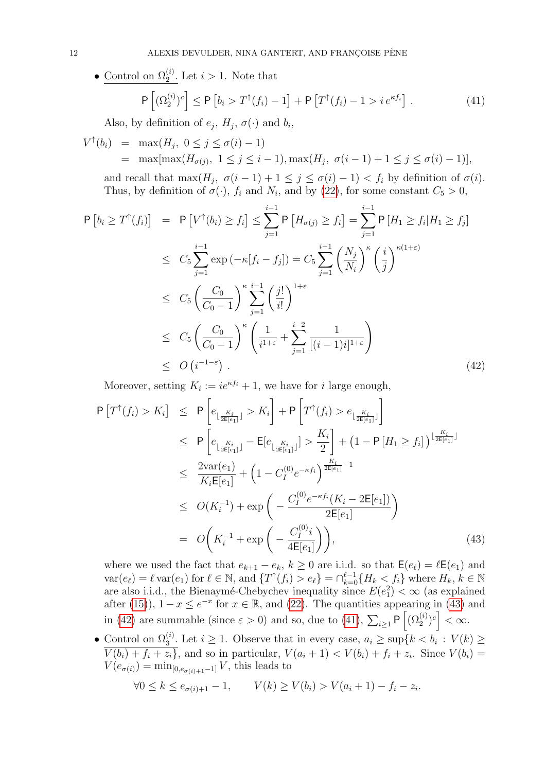• Control on  $\Omega_2^{(i)}$ . Let  $i > 1$ . Note that  $\mathsf{P}\left[(\Omega_2^{(i)})^c\right] \leq \mathsf{P}\left[b_i > T^{\uparrow}(f_i) - 1\right] + \mathsf{P}\left[T^{\uparrow}(f_i) - 1 > i e^{\kappa f_i}\right]$ 

<span id="page-11-2"></span>Also, by definition of  $e_j$ ,  $H_j$ ,  $\sigma(\cdot)$  and  $b_i$ ,

$$
V^{\uparrow}(b_i) = \max(H_j, 0 \le j \le \sigma(i) - 1)
$$
  
= 
$$
\max[\max(H_{\sigma(j)}, 1 \le j \le i - 1), \max(H_j, \sigma(i - 1) + 1 \le j \le \sigma(i) - 1)],
$$

and recall that  $\max(H_j, \sigma(i-1)+1 \leq j \leq \sigma(i)-1) < f_i$  by definition of  $\sigma(i)$ . Thus, by definition of  $\sigma(\cdot)$ ,  $f_i$  and  $N_i$ , and by [\(22\)](#page-5-2), for some constant  $C_5 > 0$ ,

 $(41)$ 

<span id="page-11-1"></span>
$$
\begin{split}\n\mathsf{P}\left[b_{i}\geq T^{\dagger}(f_{i})\right] &= \mathsf{P}\left[V^{\dagger}(b_{i})\geq f_{i}\right] \leq \sum_{j=1}^{i-1} \mathsf{P}\left[H_{\sigma(j)}\geq f_{i}\right] = \sum_{j=1}^{i-1} \mathsf{P}\left[H_{1}\geq f_{i}|H_{1}\geq f_{j}\right] \\
&\leq C_{5} \sum_{j=1}^{i-1} \exp\left(-\kappa[f_{i}-f_{j}]\right) = C_{5} \sum_{j=1}^{i-1} \left(\frac{N_{j}}{N_{i}}\right)^{\kappa} \left(\frac{i}{j}\right)^{\kappa(1+\varepsilon)} \\
&\leq C_{5} \left(\frac{C_{0}}{C_{0}-1}\right)^{\kappa} \sum_{j=1}^{i-1} \left(\frac{j!}{i!}\right)^{1+\varepsilon} \\
&\leq C_{5} \left(\frac{C_{0}}{C_{0}-1}\right)^{\kappa} \left(\frac{1}{i^{1+\varepsilon}}+\sum_{j=1}^{i-2} \frac{1}{[(i-1)i]^{1+\varepsilon}}\right) \\
&\leq O\left(i^{-1-\varepsilon}\right).\n\end{split} \tag{42}
$$

Moreover, setting  $K_i := ie^{\kappa f_i} + 1$ , we have for *i* large enough,

<span id="page-11-0"></span>
$$
P\left[T^{\uparrow}(f_{i}) > K_{i}\right] \leq P\left[e_{\lfloor \frac{K_{i}}{2E[e_{1}]\rfloor}} > K_{i}\right] + P\left[T^{\uparrow}(f_{i}) > e_{\lfloor \frac{K_{i}}{2E[e_{1}]\rfloor}}\right] \\
\leq P\left[e_{\lfloor \frac{K_{i}}{2E[e_{1}]\rfloor}} - E[e_{\lfloor \frac{K_{i}}{2E[e_{1}]\rfloor}}] > \frac{K_{i}}{2}\right] + \left(1 - P\left[H_{1} \geq f_{i}\right]\right)^{\lfloor \frac{K_{i}}{2E[e_{1}]\rfloor}} \\
\leq \frac{2 \text{var}(e_{1})}{K_{i}E[e_{1}]} + \left(1 - C_{I}^{(0)}e^{-\kappa f_{i}}\right)^{\frac{K_{i}}{2E[e_{1}]}-1} \\
\leq O(K_{i}^{-1}) + \exp\left(-\frac{C_{I}^{(0)}e^{-\kappa f_{i}}(K_{i} - 2E[e_{1}])}{2E[e_{1}]} - 2E[e_{1}]\right) \\
= O\left(K_{i}^{-1} + \exp\left(-\frac{C_{I}^{(0)}i}{4E[e_{1}]} - 2E[e_{1}]\right)\right),
$$
\n(43)

where we used the fact that  $e_{k+1} - e_k$ ,  $k \geq 0$  are i.i.d. so that  $\mathsf{E}(e_\ell) = \ell \mathsf{E}(e_1)$  and  $var(e_{\ell}) = \ell \text{ var}(e_1) \text{ for } \ell \in \mathbb{N}, \text{ and } \{T^{\uparrow}(f_i) > e_{\ell}\} = \bigcap_{k=0}^{\ell-1} \{H_k \leq f_i\} \text{ where } H_k, k \in \mathbb{N}$ are also i.i.d., the Bienaymé-Chebychev inequality since  $E(e_1^2) < \infty$  (as explained after [\(15\)](#page-4-5)),  $1-x \leq e^{-x}$  for  $x \in \mathbb{R}$ , and [\(22\)](#page-5-2). The quantities appearing in [\(43\)](#page-11-0) and in [\(42\)](#page-11-1) are summable (since  $\varepsilon > 0$ ) and so, due to [\(41\)](#page-11-2),  $\sum_{i \geq 1} \mathsf{P}\left[ (\Omega_2^{(i)})^c \right] < \infty$ .

• Control on  $\Omega_3^{(i)}$ . Let  $i \geq 1$ . Observe that in every case,  $a_i \geq \sup\{k < b_i : V(k) \geq 1\}$  $V(b_i) + f_i + z_i$ , and so in particular,  $V(a_i + 1) < V(b_i) + f_i + z_i$ . Since  $V(b_i) =$  $V(e_{\sigma(i)}) = \min_{[0,e_{\sigma(i)+1}-1]} V$ , this leads to

.

$$
\forall 0 \le k \le e_{\sigma(i)+1} - 1, \qquad V(k) \ge V(b_i) > V(a_i + 1) - f_i - z_i
$$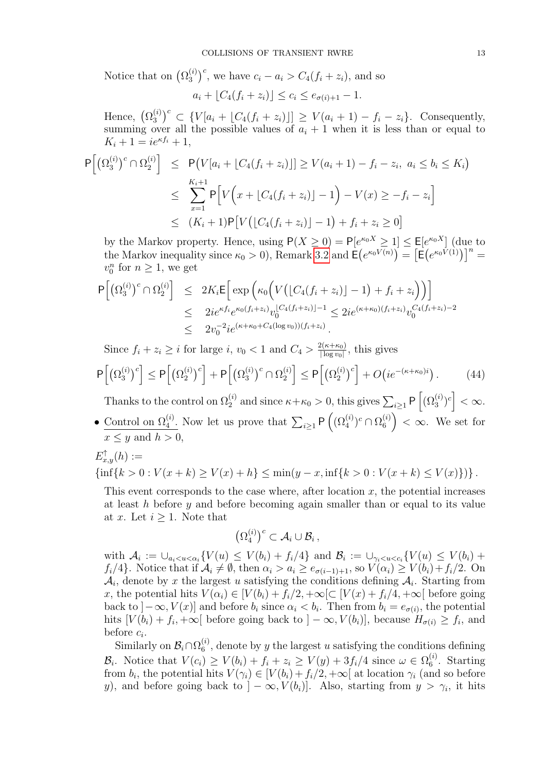Notice that on  $(\Omega_3^{(i)})$  ${^{(i)}_{3}}^c$ , we have  $c_i - a_i > C_4(f_i + z_i)$ , and so

$$
a_i + [C_4(f_i + z_i)] \le c_i \le e_{\sigma(i)+1} - 1.
$$

Hence,  $(\Omega_3^{(i)}$  $S_3^{(i)})^c \subset \{V[a_i + \lfloor C_4(f_i + z_i) \rfloor] \geq V(a_i + 1) - f_i - z_i\}.$  Consequently, summing over all the possible values of  $a_i + 1$  when it is less than or equal to  $K_i + 1 = ie^{\kappa f_i} + 1,$ 

$$
P[(\Omega_3^{(i)})^c \cap \Omega_2^{(i)}] \le P(V[a_i + [C_4(f_i + z_i)]] \ge V(a_i + 1) - f_i - z_i, \ a_i \le b_i \le K_i)
$$
  

$$
\le \sum_{x=1}^{K_i+1} P[V(x + [C_4(f_i + z_i)] - 1) - V(x) \ge -f_i - z_i]
$$
  

$$
\le (K_i + 1)P[V([C_4(f_i + z_i)] - 1) + f_i + z_i \ge 0]
$$

by the Markov property. Hence, using  $P(X \geq 0) = P[e^{\kappa_0 X} \geq 1] \leq E[e^{\kappa_0 X}]$  (due to the Markov inequality since  $\kappa_0 > 0$ ), Remark [3.2](#page-9-1) and  $\mathsf{E}(e^{\kappa_0 V(n)}) = \left[\mathsf{E}(e^{\kappa_0 V(1)})\right]^n =$  $v_0^n$  for  $n \geq 1$ , we get

$$
\begin{array}{lcl} \mathsf{P}\Big[\big(\Omega_3^{(i)}\big)^c \cap \Omega_2^{(i)}\Big] & \leq & 2K_i \mathsf{E}\Big[\exp\Big(\kappa_0\Big(V\big(\lfloor C_4(f_i+z_i)\rfloor-1\big)+f_i+z_i\Big)\Big)\Big] \\ & \leq & 2ie^{\kappa f_i}e^{\kappa_0(f_i+z_i)}v_0^{\lfloor C_4(f_i+z_i)\rfloor-1} \leq 2ie^{(\kappa+\kappa_0)(f_i+z_i)}v_0^{C_4(f_i+z_i)-2} \\ & \leq & 2v_0^{-2}ie^{(\kappa+\kappa_0+C_4(\log v_0))(f_i+z_i)}.\end{array}
$$

Since  $f_i + z_i \geq i$  for large i,  $v_0 < 1$  and  $C_4 > \frac{2(\kappa + \kappa_0)}{|\log v_0|}$  $\frac{2(\kappa+\kappa_0)}{|\log v_0|}$ , this gives  $P\left[\left(\Omega_3^{(i)}\right)\right]$  $\left[2\atop{3}^{(i)}\right]^c\right]\leq{\sf P}\Big[\big(\Omega_2^{(i)}\big)$  $\left[2^{(i)}\right)^c \right] + \mathsf{P}\Big[\big(\Omega_3^{(i)}\big)$  $\binom{i}{3}^c \cap \Omega_2^{(i)}$  $\left[2\atop 2\right]\leq \mathsf{P}\Big[\big(\Omega_2^{(i)}\big)$  $\binom{i}{2}^c$  +  $O\big(ie^{-(\kappa+\kappa_0)i}\big)$  $(44)$ 

Thanks to the control on  $\Omega_2^{(i)}$  and since  $\kappa + \kappa_0 > 0$ , this gives  $\sum_{i \geq 1} \mathsf{P}\left[ (\Omega_3^{(i)})^c \right] < \infty$ . • Control on  $\Omega_4^{(i)}$ . Now let us prove that  $\sum_{i\geq 1} P\left((\Omega_4^{(i)})^c \cap \Omega_6^{(i)}\right)$  $\binom{1}{6}$  <  $\infty$ . We set for

$$
E_{x,y}^{\uparrow}(h):=
$$

 $x \leq y$  and  $h > 0$ ,

 $\{\inf\{k>0: V(x+k)\geq V(x)+h\}\leq \min(y-x,\inf\{k>0: V(x+k)\leq V(x)\})\}.$ 

This event corresponds to the case where, after location  $x$ , the potential increases at least h before y and before becoming again smaller than or equal to its value at x. Let  $i \geq 1$ . Note that

$$
\left(\Omega_4^{(i)}\right)^c \subset \mathcal{A}_i \cup \mathcal{B}_i\,,
$$

with  $A_i := \bigcup_{a_i < u < \alpha_i} \{V(u) \leq V(b_i) + f_i/4\}$  and  $B_i := \bigcup_{\gamma_i < u < c_i} \{V(u) \leq V(b_i) + f_i/4\}$  $f_i/4$ . Notice that if  $\mathcal{A}_i \neq \emptyset$ , then  $\alpha_i > a_i \geq e_{\sigma(i-1)+1}$ , so  $V(\alpha_i) \geq V(b_i)+f_i/2$ . On  $A_i$ , denote by x the largest u satisfying the conditions defining  $A_i$ . Starting from x, the potential hits  $V(\alpha_i) \in [V(b_i) + f_i/2, +\infty) \subset [V(x) + f_i/4, +\infty]$  before going back to  $]-\infty, V(x)]$  and before  $b_i$  since  $\alpha_i < b_i$ . Then from  $b_i = e_{\sigma(i)}$ , the potential hits  $[V(b_i) + f_i, +\infty]$  before going back to  $] -\infty$ ,  $V(b_i)$ , because  $H_{\sigma(i)} \geq f_i$ , and before  $c_i$ .

Similarly on  $\mathcal{B}_i \cap \Omega_6^{(i)}$  $\binom{u}{6}$ , denote by y the largest u satisfying the conditions defining  $\mathcal{B}_i$ . Notice that  $V(c_i) \geq V(b_i) + f_i + z_i \geq V(y) + 3f_i/4$  since  $\omega \in \Omega_6^{(i)}$  $\binom{1}{6}$ . Starting from  $b_i$ , the potential hits  $V(\gamma_i) \in [V(b_i) + f_i/2, +\infty]$  at location  $\gamma_i$  (and so before y), and before going back to  $]-\infty, V(b_i)]$ . Also, starting from  $y > \gamma_i$ , it hits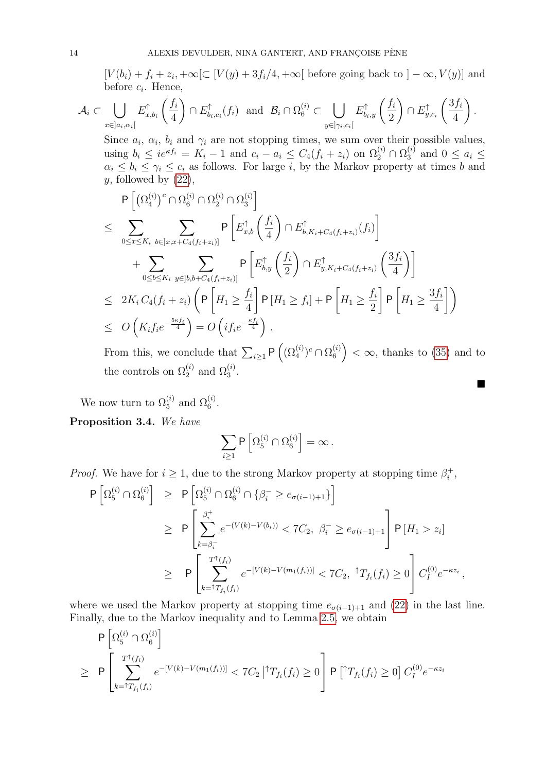$[V(b_i) + f_i + z_i, +\infty[\subset [V(y) + 3f_i/4, +\infty[$  before going back to  $] - \infty, V(y)]$  and before  $c_i$ . Hence,

$$
\mathcal{A}_i \subset \bigcup_{x \in ]a_i,\alpha_i[} E_{x,b_i}^{\uparrow} \left( \frac{f_i}{4} \right) \cap E_{b_i,c_i}^{\uparrow}(f_i) \text{ and } \mathcal{B}_i \cap \Omega_6^{(i)} \subset \bigcup_{y \in ]\gamma_i,c_i[} E_{b_i,y}^{\uparrow} \left( \frac{f_i}{2} \right) \cap E_{y,c_i}^{\uparrow} \left( \frac{3f_i}{4} \right).
$$

Since  $a_i$ ,  $\alpha_i$ ,  $b_i$  and  $\gamma_i$  are not stopping times, we sum over their possible values, using  $b_i \leq ie^{\kappa f_i} = K_i - 1$  and  $c_i - a_i \leq C_4(f_i + z_i)$  on  $\Omega_2^{(i)} \cap \Omega_3^{(i)}$  $a_i^{(i)}$  and  $0 \leq a_i \leq$  $\alpha_i \leq b_i \leq \gamma_i \leq c_i$  as follows. For large i, by the Markov property at times b and  $y$ , followed by  $(22)$ ,

$$
\begin{split}\n&\quad P\left[\left(\Omega_{4}^{(i)}\right)^{c}\cap\Omega_{6}^{(i)}\cap\Omega_{2}^{(i)}\cap\Omega_{3}^{(i)}\right] \\
&\leq \sum_{0\leq x\leq K_{i}}\sum_{b\in]x,x+C_{4}(f_{i}+z_{i})]} P\left[E_{x,b}^{\uparrow}\left(\frac{f_{i}}{4}\right)\cap E_{b,K_{i}+C_{4}(f_{i}+z_{i})}^{\uparrow}(f_{i})\right] \\
&\quad + \sum_{0\leq b\leq K_{i}}\sum_{y\in]b,b+C_{4}(f_{i}+z_{i})} P\left[E_{b,y}^{\uparrow}\left(\frac{f_{i}}{2}\right)\cap E_{y,K_{i}+C_{4}(f_{i}+z_{i})}^{\uparrow}\left(\frac{3f_{i}}{4}\right)\right] \\
&\leq 2K_{i}C_{4}(f_{i}+z_{i}) \left(P\left[H_{1}\geq\frac{f_{i}}{4}\right]P\left[H_{1}\geq f_{i}\right] + P\left[H_{1}\geq\frac{f_{i}}{2}\right]P\left[H_{1}\geq\frac{3f_{i}}{4}\right]\right) \\
&\leq O\left(K_{i}f_{i}e^{-\frac{5\kappa f_{i}}{4}}\right) = O\left(if_{i}e^{-\frac{\kappa f_{i}}{4}}\right).\n\end{split}
$$

From this, we conclude that  $\sum_{i\geq 1} \mathsf{P}\left((\Omega_4^{(i)})^c \cap \Omega_6^{(i)}\right)$  $\binom{a}{6}$  <  $\infty$ , thanks to [\(35\)](#page-8-1) and to the controls on  $\Omega_2^{(i)}$  and  $\Omega_3^{(i)}$ .

П

We now turn to  $\Omega_5^{(i)}$  and  $\Omega_6^{(i)}$ .

<span id="page-13-0"></span>Proposition 3.4. We have

$$
\sum_{i\geq 1} \mathsf{P}\left[\Omega_5^{(i)}\cap\Omega_6^{(i)}\right]=\infty\,.
$$

*Proof.* We have for  $i \geq 1$ , due to the strong Markov property at stopping time  $\beta_i^+$  $i^+$ 

$$
\begin{array}{lcl} \mathsf{P}\left[\Omega_{5}^{(i)} \cap \Omega_{6}^{(i)}\right] & \geq & \mathsf{P}\left[\Omega_{5}^{(i)} \cap \Omega_{6}^{(i)} \cap \{\beta_{i}^{-} \geq e_{\sigma(i-1)+1}\}\right] \\ \\ & \geq & \mathsf{P}\left[\sum_{k=\beta_{i}^{-}}^{\beta_{i}^{+}} e^{-(V(k)-V(b_{i}))} < 7C_{2}, \ \beta_{i}^{-} \geq e_{\sigma(i-1)+1} \right] \mathsf{P}\left[H_{1} > z_{i}\right] \\ \\ & \geq & \mathsf{P}\left[\sum_{k=\uparrow T_{f_{i}}(f_{i})}^{T^{*}(f_{i})} e^{-[V(k)-V(m_{1}(f_{i}))]} < 7C_{2}, \ \uparrow T_{f_{i}}(f_{i}) \geq 0\right] C_{I}^{(0)} e^{-\kappa z_{i}}, \end{array}
$$

where we used the Markov property at stopping time  $e_{\sigma(i-1)+1}$  and [\(22\)](#page-5-2) in the last line. Finally, due to the Markov inequality and to Lemma [2.5,](#page-7-0) we obtain

$$
\begin{aligned} & \mathsf{P}\left[\Omega_{5}^{(i)} \cap \Omega_{6}^{(i)}\right] \\ &\geq \mathsf{P}\left[\sum_{k=\uparrow T_{f_{i}}(f_{i})}^{T^{\uparrow}(f_{i})} e^{-[V(k)-V(m_{1}(f_{i}))]} < 7C_{2} \left| \uparrow T_{f_{i}}(f_{i}) \geq 0 \right] \mathsf{P}\left[\uparrow T_{f_{i}}(f_{i}) \geq 0\right] C_{I}^{(0)} e^{-\kappa z_{i}} \end{aligned}
$$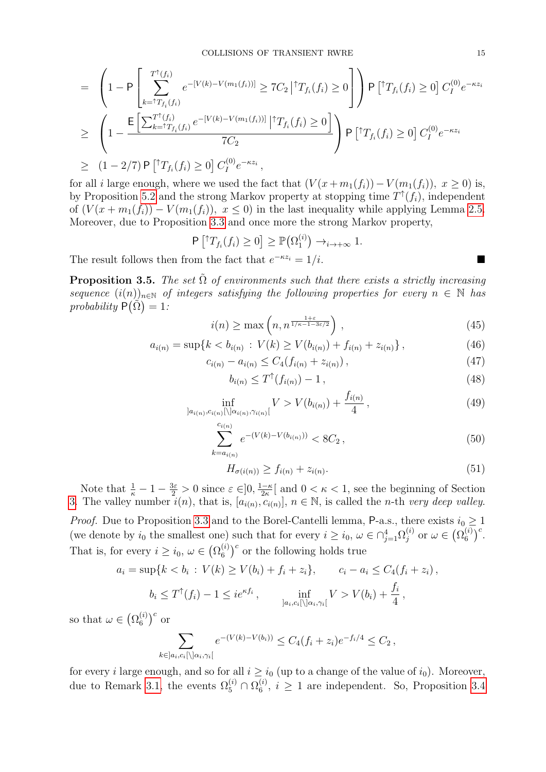$$
= \left(1 - P \left[\sum_{k=\uparrow T_{f_i}(f_i)}^{T^{\uparrow}(f_i)} e^{-[V(k)-V(m_1(f_i))]}\geq 7C_2 |{}^{\uparrow}T_{f_i}(f_i) \geq 0\right]\right) P \left[{}^{\uparrow}T_{f_i}(f_i) \geq 0\right] C_I^{(0)} e^{-\kappa z_i}
$$
  
\n
$$
\geq \left(1 - \frac{\mathsf{E}\left[\sum_{k=\uparrow T_{f_i}(f_i)}^{T^{\uparrow}(f_i)} e^{-[V(k)-V(m_1(f_i))]} |{}^{\uparrow}T_{f_i}(f_i) \geq 0\right]}{7C_2}\right) P \left[{}^{\uparrow}T_{f_i}(f_i) \geq 0\right] C_I^{(0)} e^{-\kappa z_i}
$$
  
\n
$$
\geq (1-2/7) P \left[{}^{\uparrow}T_{f_i}(f_i) \geq 0\right] C_I^{(0)} e^{-\kappa z_i},
$$

for all *i* large enough, where we used the fact that  $(V(x + m_1(f_i)) - V(m_1(f_i)), x \ge 0)$  is, by Proposition [5.2](#page-22-0) and the strong Markov property at stopping time  $T^{\uparrow}(f_i)$ , independent of  $(V(x + m_1(f_i)) - V(m_1(f_i)), x \leq 0)$  in the last inequality while applying Lemma [2.5.](#page-7-0) Moreover, due to Proposition [3.3](#page-10-0) and once more the strong Markov property,

$$
\mathsf{P}\left[{}^{\uparrow}T_{f_i}(f_i)\geq 0\right]\geq \mathbb{P}\big(\Omega_1^{(i)}\big)\to_{i\to+\infty}1.
$$

The result follows then from the fact that  $e^{-\kappa z_i} = 1/i$ .

<span id="page-14-0"></span>**Proposition 3.5.** The set  $\tilde{\Omega}$  of environments such that there exists a strictly increasing sequence  $(i(n))_{n\in\mathbb{N}}$  of integers satisfying the following properties for every  $n \in \mathbb{N}$  has probability  $\widehat{P}(\widehat{\Omega})=1$ :

<span id="page-14-2"></span>
$$
i(n) \ge \max\left(n, n^{\frac{1+\varepsilon}{1/\kappa - 1 - 3\varepsilon/2}}\right),\tag{45}
$$

<span id="page-14-4"></span>
$$
a_{i(n)} = \sup\{k < b_{i(n)} : V(k) \ge V(b_{i(n)}) + f_{i(n)} + z_{i(n)}\},\tag{46}
$$

<span id="page-14-5"></span>
$$
c_{i(n)} - a_{i(n)} \le C_4(f_{i(n)} + z_{i(n)}), \qquad (47)
$$

<span id="page-14-1"></span>
$$
b_{i(n)} \le T^{\uparrow}(f_{i(n)}) - 1, \tag{48}
$$

<span id="page-14-6"></span>
$$
\inf_{]a_{i(n)}, c_{i(n)}[\langle ]a_{i(n)}, \gamma_{i(n)}[} V > V(b_{i(n)}) + \frac{f_{i(n)}}{4}, \tag{49}
$$

<span id="page-14-7"></span>
$$
\sum_{k=a_{i(n)}}^{c_{i(n)}} e^{-(V(k)-V(b_{i(n)}))} < 8C_2 \,, \tag{50}
$$

<span id="page-14-3"></span>
$$
H_{\sigma(i(n))} \ge f_{i(n)} + z_{i(n)}.\tag{51}
$$

Note that  $\frac{1}{\kappa} - 1 - \frac{3\varepsilon}{2} > 0$  since  $\varepsilon \in ]0, \frac{1-\kappa}{2\kappa}$  $\frac{-\kappa}{2\kappa}$  and  $0 < \kappa < 1$ , see the beginning of Section [3.](#page-8-0) The valley number  $i(n)$ , that is,  $[a_{i(n)}, c_{i(n)}]$ ,  $n \in \mathbb{N}$ , is called the *n*-th very deep valley.

*Proof.* Due to Proposition [3.3](#page-10-0) and to the Borel-Cantelli lemma, P-a.s., there exists  $i_0 \geq 1$ (we denote by  $i_0$  the smallest one) such that for every  $i \geq i_0, \omega \in \bigcap_{j=1}^4 \Omega_j^{(i)}$  $j^{(i)}_j$  or  $\omega \in \big( \Omega_6^{(i)}$  $\binom{i}{6}^c$ . That is, for every  $i \geq i_0, \omega \in (\Omega_6^{(i)})$  $\binom{(i)}{6}^c$  or the following holds true

$$
a_i = \sup\{k < b_i : V(k) \ge V(b_i) + f_i + z_i\}, \qquad c_i - a_i \le C_4(f_i + z_i),
$$
\n
$$
b_i \le T^{\uparrow}(f_i) - 1 \le i e^{\kappa f_i}, \qquad \inf_{a_i, c_i \in \mathbb{N}} V > V(b_i) + \frac{f_i}{4},
$$

so that  $\omega \in (\Omega_6^{(i)}$  $\binom{i}{6}^c$  or

$$
\sum_{k \in ]a_i, c_i[ \setminus ]\alpha_i, \gamma_i[} e^{-(V(k)-V(b_i))} \le C_4(f_i + z_i)e^{-f_i/4} \le C_2,
$$

for every *i* large enough, and so for all  $i \geq i_0$  (up to a change of the value of  $i_0$ ). Moreover, due to Remark [3.1,](#page-9-2) the events  $\Omega_5^{(i)} \cap \Omega_6^{(i)}$  $\binom{v}{6}$ ,  $i \geq 1$  are independent. So, Proposition [3.4](#page-13-0)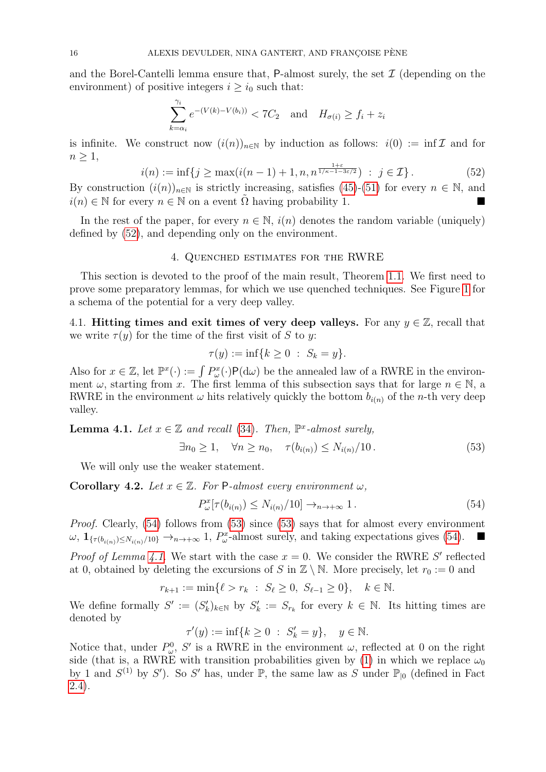and the Borel-Cantelli lemma ensure that,  $P$ -almost surely, the set  $\mathcal I$  (depending on the environment) of positive integers  $i \geq i_0$  such that:

$$
\sum_{k=\alpha_i}^{\gamma_i} e^{-(V(k)-V(b_i))} < 7C_2 \quad \text{and} \quad H_{\sigma(i)} \ge f_i + z_i
$$

is infinite. We construct now  $(i(n))_{n\in\mathbb{N}}$  by induction as follows:  $i(0) := \inf \mathcal{I}$  and for  $n \geq 1$ ,

<span id="page-15-1"></span>
$$
i(n) := \inf\{j \ge \max(i(n-1)+1, n, n^{\frac{1+\varepsilon}{1/\kappa-1-3\varepsilon/2}}) \; : \; j \in \mathcal{I}\}.
$$
 (52)

By construction  $(i(n))_{n\in\mathbb{N}}$  is strictly increasing, satisfies [\(45\)](#page-14-2)-[\(51\)](#page-14-3) for every  $n \in \mathbb{N}$ , and  $i(n) \in \mathbb{N}$  for every  $n \in \mathbb{N}$  on a event  $\Omega$  having probability 1.

In the rest of the paper, for every  $n \in \mathbb{N}$ ,  $i(n)$  denotes the random variable (uniquely) defined by [\(52\)](#page-15-1), and depending only on the environment.

### 4. Quenched estimates for the RWRE

This section is devoted to the proof of the main result, Theorem [1.1.](#page-2-0) We first need to prove some preparatory lemmas, for which we use quenched techniques. See Figure [1](#page-9-0) for a schema of the potential for a very deep valley.

4.1. Hitting times and exit times of very deep valleys. For any  $y \in \mathbb{Z}$ , recall that we write  $\tau(y)$  for the time of the first visit of S to y:

$$
\tau(y) := \inf\{k \ge 0 \; : \; S_k = y\}.
$$

Also for  $x \in \mathbb{Z}$ , let  $\mathbb{P}^x(\cdot) := \int P^x_\omega(\cdot) \mathsf{P}(\mathrm{d}\omega)$  be the annealed law of a RWRE in the environment  $\omega$ , starting from x. The first lemma of this subsection says that for large  $n \in \mathbb{N}$ , a RWRE in the environment  $\omega$  hits relatively quickly the bottom  $b_{i(n)}$  of the *n*-th very deep valley.

<span id="page-15-0"></span>**Lemma 4.1.** Let  $x \in \mathbb{Z}$  and recall [\(34\)](#page-8-2). Then,  $\mathbb{P}^x$ -almost surely,

<span id="page-15-3"></span>
$$
\exists n_0 \ge 1, \quad \forall n \ge n_0, \quad \tau(b_{i(n)}) \le N_{i(n)}/10. \tag{53}
$$

We will only use the weaker statement.

Corollary 4.2. Let  $x \in \mathbb{Z}$ . For P-almost every environment  $\omega$ ,

<span id="page-15-2"></span>
$$
P_{\omega}^x[\tau(b_{i(n)}) \le N_{i(n)}/10] \to_{n \to +\infty} 1.
$$
\n(54)

Proof. Clearly, [\(54\)](#page-15-2) follows from [\(53\)](#page-15-3) since [\(53\)](#page-15-3) says that for almost every environment  $\omega, \mathbf{1}_{\{\tau(b_{i(n)}) \leq N_{i(n)}/10\}} \to_{n \to +\infty} 1, P^x_{\omega}$ -almost surely, and taking expectations gives [\(54\)](#page-15-2).

*Proof of Lemma [4.1.](#page-15-0)* We start with the case  $x = 0$ . We consider the RWRE S' reflected at 0, obtained by deleting the excursions of S in  $\mathbb{Z} \setminus \mathbb{N}$ . More precisely, let  $r_0 := 0$  and

$$
r_{k+1} := \min\{\ell > r_k \; : \; S_{\ell} \ge 0, \; S_{\ell-1} \ge 0\}, \quad k \in \mathbb{N}.
$$

We define formally  $S' := (S'_k)_{k \in \mathbb{N}}$  by  $S'_k := S_{r_k}$  for every  $k \in \mathbb{N}$ . Its hitting times are denoted by

$$
\tau'(y) := \inf\{k \ge 0 \; : \; S'_k = y\}, \quad y \in \mathbb{N}.
$$

Notice that, under  $P_{\omega}^0$ , S' is a RWRE in the environment  $\omega$ , reflected at 0 on the right side (that is, a RWRE with transition probabilities given by [\(1\)](#page-1-3) in which we replace  $\omega_0$ by 1 and  $S^{(1)}$  by S'). So S' has, under  $\mathbb{P}$ , the same law as S under  $\mathbb{P}_{\vert 0}$  (defined in Fact [2.4\)](#page-5-3).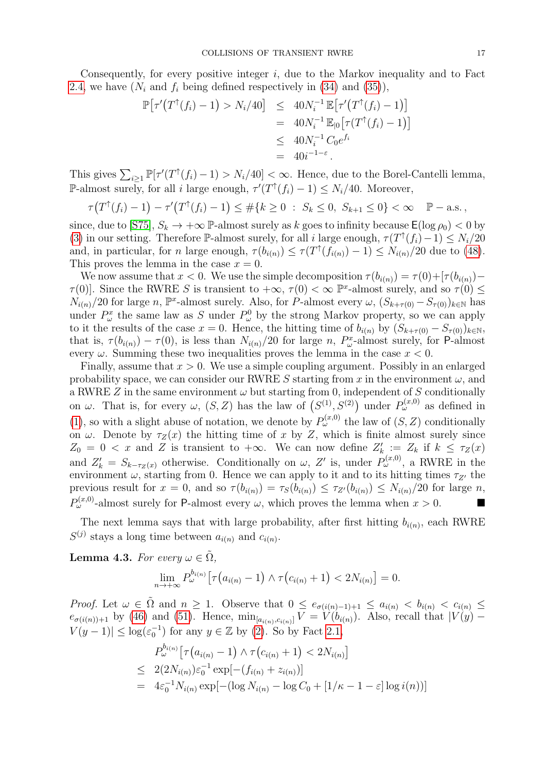Consequently, for every positive integer  $i$ , due to the Markov inequality and to Fact [2.4,](#page-5-3) we have  $(N_i \text{ and } f_i \text{ being defined respectively in (34) and (35)),}$  $(N_i \text{ and } f_i \text{ being defined respectively in (34) and (35)),}$  $(N_i \text{ and } f_i \text{ being defined respectively in (34) and (35)),}$  $(N_i \text{ and } f_i \text{ being defined respectively in (34) and (35)),}$  $(N_i \text{ and } f_i \text{ being defined respectively in (34) and (35)),}$ 

$$
\mathbb{P}[\tau'(T^{\uparrow}(f_i) - 1) > N_i/40] \leq 40N_i^{-1} \mathbb{E}[\tau'(T^{\uparrow}(f_i) - 1)]
$$
\n
$$
= 40N_i^{-1} \mathbb{E}_{|0}[\tau(T^{\uparrow}(f_i) - 1)]
$$
\n
$$
\leq 40N_i^{-1} C_0 e^{f_i}
$$
\n
$$
= 40i^{-1-\varepsilon}.
$$

This gives  $\sum_{i\geq 1} \mathbb{P}[\tau'(T^{\dagger}(f_i)-1) > N_i/40] < \infty$ . Hence, due to the Borel-Cantelli lemma, P-almost surely, for all i large enough,  $\tau'(T^{\uparrow}(f_i) - 1) \leq N_i/40$ . Moreover,

$$
\tau\big(T^{\uparrow}(f_i)-1\big)-\tau'\big(T^{\uparrow}(f_i)-1\big)\leq \#\{k\geq 0\;:\;S_k\leq 0,\;S_{k+1}\leq 0\}<\infty\quad\mathbb{P}-\text{a.s.}\,,
$$

since, due to [\[S75\]](#page-25-1),  $S_k \to +\infty$  P-almost surely as k goes to infinity because  $\mathsf{E}(\log \rho_0) < 0$  by [\(3\)](#page-1-0) in our setting. Therefore P-almost surely, for all i large enough,  $\tau(T^{\uparrow}(f_i)-1) \leq N_i/20$ and, in particular, for n large enough,  $\tau(b_{i(n)}) \leq \tau(T^{\uparrow}(f_{i(n)}) - 1) \leq N_{i(n)}/20$  due to [\(48\)](#page-14-1). This proves the lemma in the case  $x = 0$ .

We now assume that  $x < 0$ . We use the simple decomposition  $\tau(b_{i(n)}) = \tau(0) + [\tau(b_{i(n)}) \tau(0)$ . Since the RWRE S is transient to  $+\infty$ ,  $\tau(0) < \infty$  P<sup>x</sup>-almost surely, and so  $\tau(0) \le$  $N_{i(n)}/20$  for large n,  $\mathbb{P}^x$ -almost surely. Also, for P-almost every  $\omega$ ,  $(S_{k+\tau(0)}-S_{\tau(0)})_{k\in\mathbb{N}}$  has under  $P^x_\omega$  the same law as S under  $P^0_\omega$  by the strong Markov property, so we can apply to it the results of the case  $x = 0$ . Hence, the hitting time of  $b_{i(n)}$  by  $(S_{k+\tau(0)} - S_{\tau(0)})_{k \in \mathbb{N}},$ that is,  $\tau(b_{i(n)}) - \tau(0)$ , is less than  $N_{i(n)}/20$  for large n,  $P_{\omega}^x$ -almost surely, for P-almost every  $\omega$ . Summing these two inequalities proves the lemma in the case  $x < 0$ .

Finally, assume that  $x > 0$ . We use a simple coupling argument. Possibly in an enlarged probability space, we can consider our RWRE S starting from x in the environment  $\omega$ , and a RWRE  $Z$  in the same environment  $\omega$  but starting from 0, independent of  $S$  conditionally on  $\omega$ . That is, for every  $\omega$ ,  $(S, Z)$  has the law of  $(S^{(1)}, S^{(2)})$  under  $P_{\omega}^{(x,0)}$  as defined in [\(1\)](#page-1-3), so with a slight abuse of notation, we denote by  $P_\omega^{(x,0)}$  the law of  $(S, Z)$  conditionally on  $\omega$ . Denote by  $\tau_Z(x)$  the hitting time of x by Z, which is finite almost surely since  $Z_0 = 0 < x$  and Z is transient to  $+\infty$ . We can now define  $Z'_k := Z_k$  if  $k \leq \tau_Z(x)$ and  $Z'_k = S_{k-\tau_Z(x)}$  otherwise. Conditionally on  $\omega$ , Z' is, under  $P_{\omega}^{(x,0)}$ , a RWRE in the environment  $\omega$ , starting from 0. Hence we can apply to it and to its hitting times  $\tau_{Z'}$  the previous result for  $x = 0$ , and so  $\tau(b_{i(n)}) = \tau_s(b_{i(n)}) \leq \tau_{Z}(b_{i(n)}) \leq N_{i(n)}/20$  for large n,  $P_{\omega}^{(x,0)}$ -almost surely for P-almost every  $\omega$ , which proves the lemma when  $x > 0$ .

The next lemma says that with large probability, after first hitting  $b_{i(n)}$ , each RWRE  $S^{(j)}$  stays a long time between  $a_{i(n)}$  and  $c_{i(n)}$ .

<span id="page-16-0"></span>**Lemma 4.3.** For every  $\omega \in \tilde{\Omega}$ ,

$$
\lim_{n \to +\infty} P_{\omega}^{b_{i(n)}} \big[ \tau(a_{i(n)} - 1) \wedge \tau(c_{i(n)} + 1) < 2N_{i(n)} \big] = 0.
$$

Proof. Let  $\omega \in \tilde{\Omega}$  and  $n \geq 1$ . Observe that  $0 \leq e_{\sigma(i(n)-1)+1} \leq a_{i(n)} < b_{i(n)} < c_{i(n)} \leq$  $e_{\sigma(i(n))+1}$  by [\(46\)](#page-14-4) and [\(51\)](#page-14-3). Hence,  $\min_{[a_{i(n)}, c_{i(n)}]} V = V(b_{i(n)})$ . Also, recall that  $|V(y) |V(y-1)| \leq \log(\varepsilon_0^{-1})$  for any  $y \in \mathbb{Z}$  by [\(2\)](#page-1-2). So by Fact [2.1,](#page-3-4)

<span id="page-16-1"></span>
$$
P_{\omega}^{b_{i(n)}}\left[\tau\left(a_{i(n)}-1\right) \wedge \tau\left(c_{i(n)}+1\right) < 2N_{i(n)}\right]
$$
\n
$$
\leq 2(2N_{i(n)})\varepsilon_0^{-1}\exp[-(f_{i(n)}+z_{i(n)})]
$$
\n
$$
= 4\varepsilon_0^{-1}N_{i(n)}\exp[-(\log N_{i(n)}-\log C_0+[1/\kappa-1-\varepsilon]\log i(n))]
$$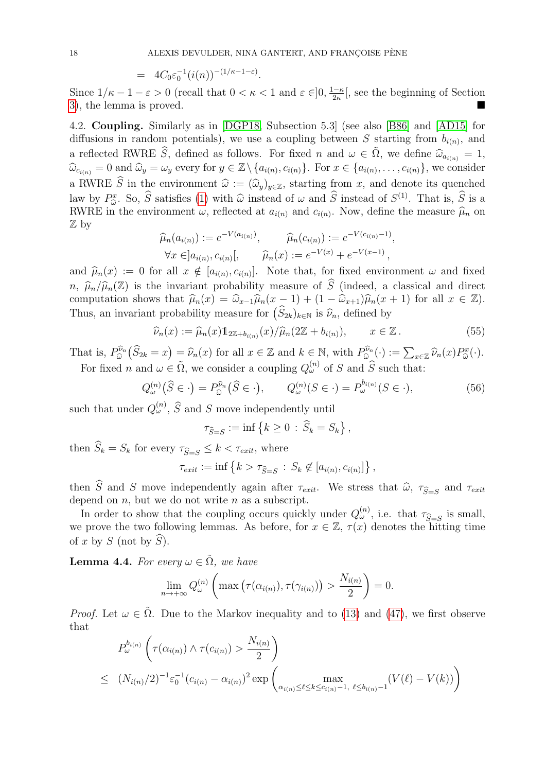.

$$
= 4C_0 \varepsilon_0^{-1} (i(n))^{-(1/\kappa - 1 - \varepsilon)}
$$

Since  $1/\kappa - 1 - \varepsilon > 0$  (recall that  $0 < \kappa < 1$  and  $\varepsilon \in ]0, \frac{1-\kappa}{2\kappa}]$  $\frac{1-\kappa}{2\kappa}$ , see the beginning of Section [3\)](#page-8-0), the lemma is proved.

<span id="page-17-0"></span>4.2. Coupling. Similarly as in [\[DGP18,](#page-24-11) Subsection 5.3] (see also [\[B86\]](#page-23-6) and [\[AD15\]](#page-23-3) for diffusions in random potentials), we use a coupling between S starting from  $b_{i(n)}$ , and a reflected RWRE  $\widehat{S}$ , defined as follows. For fixed n and  $\omega \in \tilde{\Omega}$ , we define  $\widehat{\omega}_{a_{i(n)}} = 1$ ,  $\widehat{\omega}_{c_{i(n)}} = 0$  and  $\widehat{\omega}_y = \omega_y$  every for  $y \in \mathbb{Z} \setminus \{a_{i(n)}, c_{i(n)}\}$ . For  $x \in \{a_{i(n)}, \ldots, c_{i(n)}\}$ , we consider a RWRE  $\widehat{S}$  in the environment  $\widehat{\omega} := (\widehat{\omega}_y)_{y \in \mathbb{Z}}$ , starting from x, and denote its quenched law by  $P_{\widehat{\omega}}^x$ . So,  $\widehat{S}$  satisfies [\(1\)](#page-1-3) with  $\widehat{\omega}$  instead of  $\omega$  and  $\widehat{S}$  instead of  $S^{(1)}$ . That is,  $\widehat{S}$  is a BWBF in the opyronment  $\omega$  reflected at  $a\omega$ , and  $c\omega$ . Now define the measure  $\widehat{\$ EXECUTE: 190, B satisfies (1) with  $\omega$  instead of  $\omega$  and B instead of  $B^{\vee}$ . That is, B is a<br>RWRE in the environment  $\omega$ , reflected at  $a_{i(n)}$  and  $c_{i(n)}$ . Now, define the measure  $\hat{\mu}_n$  on Z by

$$
\widehat{\mu}_n(a_{i(n)}) := e^{-V(a_{i(n)})}, \qquad \widehat{\mu}_n(c_{i(n)}) := e^{-V(c_{i(n)}-1)},
$$
  
\n
$$
\forall x \in ]a_{i(n)}, c_{i(n)}[, \qquad \widehat{\mu}_n(x) := e^{-V(x)} + e^{-V(x-1)},
$$

and  $\widehat{\mu}_n(x) := 0$  for all  $x \notin [a_{i(n)}, c_{i(n)}]$ . Note that, for fixed environment  $\omega$  and fixed  $\widehat{\alpha}$  (i.e.,  $\widehat{\alpha}$ ) is the contract of  $\widehat{\alpha}$  (i.e.,  $\widehat{\alpha}$ ) is the contract of  $\widehat{\alpha}$  $n, \hat{\mu}_n/\hat{\mu}_n(\mathbb{Z})$  is the invariant probability measure of  $\hat{S}$  (indeed, a classical and direct computation shows that  $\hat{\mu}_n(x) = \hat{\omega}_{x-1}\hat{\mu}_n(x - 1) + (1 - \hat{\omega}_{x+1})\hat{\mu}_n(x + 1)$  for all  $x \in \mathbb{Z}$ ). Thus, an invariant probability measure for  $(S_{2k})_{k\in\mathbb{N}}$  is  $\widehat{\nu}_n$ , defined by

$$
\widehat{\nu}_n(x) := \widehat{\mu}_n(x) 1_{2\mathbb{Z} + b_{i(n)}}(x) / \widehat{\mu}_n(2\mathbb{Z} + b_{i(n)}), \qquad x \in \mathbb{Z}.
$$
\n(55)

That is,  $P_{\widehat{\omega}}^{\widehat{\nu}_n}$  $\widehat{\omega}_{\widehat{\omega}}^{p_n}(\widehat{S}_{2k} = x) = \widehat{\nu}_n(x)$  for all  $x \in \mathbb{Z}$  and  $k \in \mathbb{N}$ , with  $P_{\widehat{\omega}}^{p_n}$  $\widehat{\omega}^{\widehat{\nu}_n}(\cdot):=\sum_{x\in\mathbb{Z}}\widehat{\nu}_n(x)P_{\widehat{\omega}}^x(\cdot).$ For fixed *n* and  $\omega \in \tilde{\Omega}$ , we consider a coupling  $Q_{\omega}^{(n)}$  of S and  $\hat{S}$  such that:

<span id="page-17-1"></span>
$$
Q_{\omega}^{(n)}(\widehat{S}\in \cdot) = P_{\widehat{\omega}}^{\widehat{\nu}_n}(\widehat{S}\in \cdot), \qquad Q_{\omega}^{(n)}(S\in \cdot) = P_{\omega}^{b_{i(n)}}(S\in \cdot), \tag{56}
$$

such that under  $Q_{\omega}^{(n)}$ ,  $\widehat{S}$  and S move independently until

$$
\tau_{\widehat{S}=S} := \inf \left\{ k \ge 0 \, : \, \widehat{S}_k = S_k \right\},\,
$$

then  $\widehat{S}_k = S_k$  for every  $\tau_{\widehat{S}=S} \leq k < \tau_{exit}$ , where

$$
\tau_{exit} := \inf \left\{ k > \tau_{\widehat{S}=S} : S_k \notin [a_{i(n)}, c_{i(n)}] \right\},\,
$$

then S and S move independently again after  $\tau_{exit}$ . We stress that  $\hat{\omega}$ ,  $\tau_{\hat{S}=S}$  and  $\tau_{exit}$  dopend on n but we do not write n as a subscript. depend on  $n$ , but we do not write  $n$  as a subscript.

In order to show that the coupling occurs quickly under  $Q_{\omega}^{(n)}$ , i.e. that  $\tau_{\widehat{S}=S}$  is small, we prove the two following lemmas. As before, for  $x \in \mathbb{Z}$ ,  $\tau(x)$  denotes the hitting time of x by S (not by  $\widehat{S}$ ).

<span id="page-17-3"></span>**Lemma 4.4.** For every  $\omega \in \tilde{\Omega}$ , we have

$$
\lim_{n \to +\infty} Q_{\omega}^{(n)}\left(\max\left(\tau(\alpha_{i(n)}), \tau(\gamma_{i(n)})\right) > \frac{N_{i(n)}}{2}\right) = 0.
$$

*Proof.* Let  $\omega \in \tilde{\Omega}$ . Due to the Markov inequality and to [\(13\)](#page-3-1) and [\(47\)](#page-14-5), we first observe that

<span id="page-17-2"></span>
$$
P_{\omega}^{b_{i(n)}}\left(\tau(\alpha_{i(n)}) \wedge \tau(c_{i(n)}) > \frac{N_{i(n)}}{2}\right)
$$
  
 
$$
\leq (N_{i(n)}/2)^{-1} \varepsilon_0^{-1} (c_{i(n)} - \alpha_{i(n)})^2 \exp\left(\max_{\alpha_{i(n)} \leq \ell \leq k \leq c_{i(n)}-1, \ \ell \leq b_{i(n)}-1} (V(\ell) - V(k))\right)
$$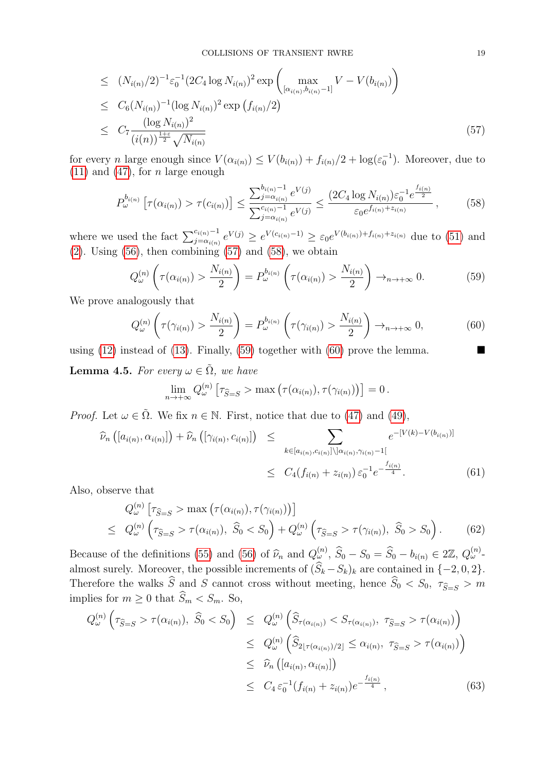$$
\leq (N_{i(n)}/2)^{-1} \varepsilon_0^{-1} (2C_4 \log N_{i(n)})^2 \exp \left( \max_{[\alpha_{i(n)}, b_{i(n)}-1]} V - V(b_{i(n)}) \right)
$$
  
\n
$$
\leq C_6 (N_{i(n)})^{-1} (\log N_{i(n)})^2 \exp \left( f_{i(n)}/2 \right)
$$
  
\n
$$
\leq C_7 \frac{(\log N_{i(n)})^2}{(i(n))^{\frac{1+\varepsilon}{2}} \sqrt{N_{i(n)}}}
$$
\n(57)

for every *n* large enough since  $V(\alpha_{i(n)}) \leq V(b_{i(n)}) + f_{i(n)}/2 + \log(\varepsilon_0^{-1})$ . Moreover, due to  $(11)$  and  $(47)$ , for *n* large enough

<span id="page-18-1"></span>
$$
P_{\omega}^{b_{i(n)}}\left[\tau(\alpha_{i(n)}) > \tau(c_{i(n)})\right] \le \frac{\sum_{j=\alpha_{i(n)}}^{b_{i(n)}-1} e^{V(j)}}{\sum_{j=\alpha_{i(n)}}^{c_{i(n)}-1} e^{V(j)}} \le \frac{(2C_4 \log N_{i(n)}) \varepsilon_0^{-1} e^{\frac{f_{i(n)}}{2}}}{\varepsilon_0 e^{f_{i(n)} + z_{i(n)}}},\tag{58}
$$

where we used the fact  $\sum_{j=\alpha_{i(n)}}^{c_{i(n)}-1} e^{V(j)} \geq e^{V(c_{i(n)}-1)} \geq \varepsilon_0 e^{V(b_{i(n)})+f_{i(n)}+z_{i(n)}}$  due to [\(51\)](#page-14-3) and [\(2\)](#page-1-2). Using  $(56)$ , then combining  $(57)$  and  $(58)$ , we obtain

<span id="page-18-2"></span>
$$
Q_{\omega}^{(n)}\left(\tau(\alpha_{i(n)}) > \frac{N_{i(n)}}{2}\right) = P_{\omega}^{b_{i(n)}}\left(\tau(\alpha_{i(n)}) > \frac{N_{i(n)}}{2}\right) \to_{n \to +\infty} 0. \tag{59}
$$

We prove analogously that

<span id="page-18-3"></span>
$$
Q_{\omega}^{(n)}\left(\tau(\gamma_{i(n)}) > \frac{N_{i(n)}}{2}\right) = P_{\omega}^{b_{i(n)}}\left(\tau(\gamma_{i(n)}) > \frac{N_{i(n)}}{2}\right) \to_{n \to +\infty} 0,\tag{60}
$$

using [\(12\)](#page-3-1) instead of [\(13\)](#page-3-1). Finally, [\(59\)](#page-18-2) together with [\(60\)](#page-18-3) prove the lemma.

<span id="page-18-0"></span>**Lemma 4.5.** For every  $\omega \in \tilde{\Omega}$ , we have

$$
\lim_{n\to+\infty} Q_{\omega}^{(n)} \left[ \tau_{\widehat{S}=S} > \max \left( \tau(\alpha_{i(n)}), \tau(\gamma_{i(n)}) \right) \right] = 0.
$$

*Proof.* Let  $\omega \in \tilde{\Omega}$ . We fix  $n \in \mathbb{N}$ . First, notice that due to [\(47\)](#page-14-5) and [\(49\)](#page-14-6),

<span id="page-18-4"></span>
$$
\widehat{\nu}_{n}\left([a_{i(n)}, \alpha_{i(n)}]\right) + \widehat{\nu}_{n}\left([\gamma_{i(n)}, c_{i(n)}]\right) \leq \sum_{k \in [a_{i(n)}, c_{i(n)}] \setminus [\alpha_{i(n)}, \gamma_{i(n)} - 1]} e^{-[V(k) - V(b_{i(n)})]}
$$
\n
$$
\leq C_{4}(f_{i(n)} + z_{i(n)}) \varepsilon_{0}^{-1} e^{-\frac{f_{i(n)}}{4}}.
$$
\n(61)

Also, observe that

<span id="page-18-5"></span>
$$
Q_{\omega}^{(n)}\left[\tau_{\widehat{S}=S} > \max\left(\tau(\alpha_{i(n)}), \tau(\gamma_{i(n)})\right)\right]
$$
  
\n
$$
\leq Q_{\omega}^{(n)}\left(\tau_{\widehat{S}=S} > \tau(\alpha_{i(n)}), \ \widehat{S}_0 < S_0\right) + Q_{\omega}^{(n)}\left(\tau_{\widehat{S}=S} > \tau(\gamma_{i(n)}), \ \widehat{S}_0 > S_0\right).
$$
 (62)

Because of the definitions [\(55\)](#page-16-1) and [\(56\)](#page-17-1) of  $\widehat{\nu}_n$  and  $Q_{\omega}^{(n)}$ ,  $\widehat{S}_0 - S_0 = \widehat{S}_0 - b_{i(n)} \in 2\mathbb{Z}$ ,  $Q_{\omega}^{(n)}$ . almost surely. Moreover, the possible increments of  $(\widehat{S}_k - S_k)_k$  are contained in  $\{-2, 0, 2\}$ . Therefore the walks  $\widehat{S}$  and  $\widehat{S}$  cannot cross without meeting, hence  $\widehat{S}_0 < S_0$ ,  $\tau_{\widehat{S}=S} > m$ implies for  $m \geq 0$  that  $\widehat{S}_m < S_m$ . So,

<span id="page-18-6"></span>
$$
Q_{\omega}^{(n)}\left(\tau_{\widehat{S}=S} > \tau(\alpha_{i(n)}), \ \widehat{S}_0 < S_0\right) \leq Q_{\omega}^{(n)}\left(\widehat{S}_{\tau(\alpha_{i(n)})} < S_{\tau(\alpha_{i(n)})}, \ \tau_{\widehat{S}=S} > \tau(\alpha_{i(n)})\right) \\
\leq Q_{\omega}^{(n)}\left(\widehat{S}_{2\lfloor\tau(\alpha_{i(n)})/2\rfloor} \leq \alpha_{i(n)}, \ \tau_{\widehat{S}=S} > \tau(\alpha_{i(n)})\right) \\
\leq \widehat{\nu}_n\left([a_{i(n)}, \alpha_{i(n)}]\right) \\
\leq C_4 \varepsilon_0^{-1}(f_{i(n)} + z_{i(n)})e^{-\frac{f_{i(n)}}{4}},\n\tag{63}
$$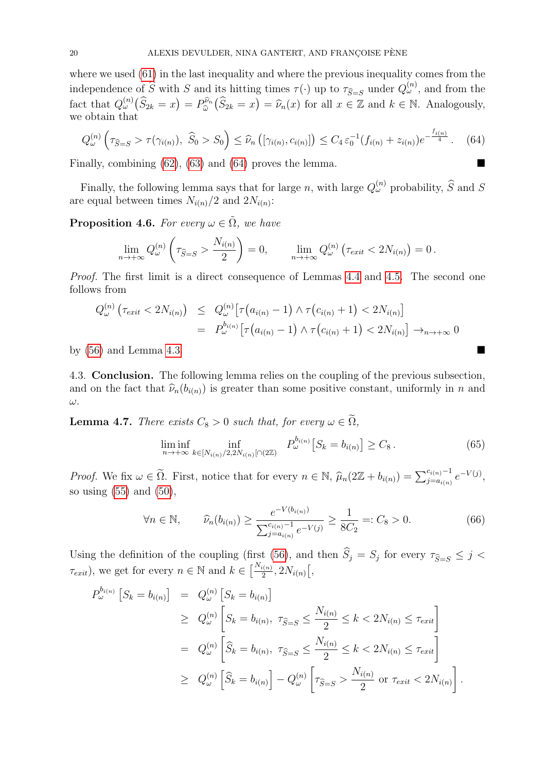where we used [\(61\)](#page-18-4) in the last inequality and where the previous inequality comes from the independence of  $\widehat{S}$  with S and its hitting times  $\tau(\cdot)$  up to  $\tau_{\widehat{S}=S}$  under  $Q_{\omega}^{(n)}$ , and from the fact that  $Q_{\omega}^{(n)}(\widehat{S}_{2k} = x) = P_{\widehat{\omega}}^{\widehat{\nu}_n}$  $\widehat{\omega}_{\widehat{\omega}}^{p_n}(\widehat{S}_{2k} = x) = \widehat{\nu}_n(x)$  for all  $x \in \mathbb{Z}$  and  $k \in \mathbb{N}$ . Analogously, we obtain that

<span id="page-19-2"></span>
$$
Q_{\omega}^{(n)}\left(\tau_{\widehat{S}=S} > \tau(\gamma_{i(n)}), \ \widehat{S}_0 > S_0\right) \leq \widehat{\nu}_n\left([\gamma_{i(n)}, c_{i(n)}]\right) \leq C_4 \,\varepsilon_0^{-1}(f_{i(n)} + z_{i(n)}) e^{-\frac{f_{i(n)}}{4}}.\tag{64}
$$

Finally, combining  $(62)$ ,  $(63)$  and  $(64)$  proves the lemma.

Finally, the following lemma says that for large n, with large  $Q_{\omega}^{(n)}$  probability,  $\widehat{S}$  and S are equal between times  $N_{i(n)}/2$  and  $2N_{i(n)}$ :

<span id="page-19-3"></span>**Proposition 4.6.** For every  $\omega \in \tilde{\Omega}$ , we have

$$
\lim_{n\to+\infty} Q_{\omega}^{(n)}\left(\tau_{\widehat{S}=S} > \frac{N_{i(n)}}{2}\right) = 0, \qquad \lim_{n\to+\infty} Q_{\omega}^{(n)}\left(\tau_{exit} < 2N_{i(n)}\right) = 0.
$$

Proof. The first limit is a direct consequence of Lemmas [4.4](#page-17-3) and [4.5.](#page-18-0) The second one follows from

$$
Q_{\omega}^{(n)}\left(\tau_{exit} < 2N_{i(n)}\right) \leq Q_{\omega}^{(n)}\big[\tau\big(a_{i(n)} - 1\big) \wedge \tau\big(c_{i(n)} + 1\big) < 2N_{i(n)}\big] \\
= P_{\omega}^{b_{i(n)}}\big[\tau\big(a_{i(n)} - 1\big) \wedge \tau\big(c_{i(n)} + 1\big) < 2N_{i(n)}\big] \to_{n \to +\infty} 0
$$

by  $(56)$  and Lemma [4.3.](#page-16-0)

<span id="page-19-0"></span>4.3. Conclusion. The following lemma relies on the coupling of the previous subsection, and on the fact that  $\hat{\nu}_n(b_{i(n)})$  is greater than some positive constant, uniformly in n and ω.

<span id="page-19-1"></span>**Lemma 4.7.** There exists  $C_8 > 0$  such that, for every  $\omega \in \widetilde{\Omega}$ ,

$$
\liminf_{n \to +\infty} \inf_{k \in [N_{i(n)}/2, 2N_{i(n)}[ \cap (2\mathbb{Z})} P_{\omega}^{b_{i(n)}} \big[ S_k = b_{i(n)} \big] \ge C_8. \tag{65}
$$

Proof. We fix  $\omega \in \tilde{\Omega}$ . First, notice that for every  $n \in \mathbb{N}$ ,  $\hat{\mu}_n(2\mathbb{Z} + b_{i(n)}) = \sum_{j=a_{i(n)}}^{c_{i(n)}-1} e^{-V(j)},$ so using  $(55)$  and  $(50)$ ,

<span id="page-19-4"></span>
$$
\forall n \in \mathbb{N}, \qquad \widehat{\nu}_n(b_{i(n)}) \ge \frac{e^{-V(b_{i(n)})}}{\sum_{j=a_{i(n)}}^{c_{i(n)}-1} e^{-V(j)}} \ge \frac{1}{8C_2} =: C_8 > 0.
$$
 (66)

Using the definition of the coupling (first [\(56\)](#page-17-1), and then  $S_j = S_j$  for every  $\tau_{\widehat{S}=S} \leq j <$  $\tau_{exit}$ , we get for every  $n \in \mathbb{N}$  and  $k \in \left[\frac{N_{i(n)}}{2}\right]$  $\frac{i(n)}{2}, 2N_{i(n)}$   $\left[ ,\right.$ 

$$
P_{\omega}^{b_{i(n)}} [S_k = b_{i(n)}] = Q_{\omega}^{(n)} [S_k = b_{i(n)}]
$$
  
\n
$$
\geq Q_{\omega}^{(n)} [S_k = b_{i(n)}, \tau_{\widehat{S}=S} \leq \frac{N_{i(n)}}{2} \leq k < 2N_{i(n)} \leq \tau_{exit}
$$
  
\n
$$
= Q_{\omega}^{(n)} [\widehat{S}_k = b_{i(n)}, \tau_{\widehat{S}=S} \leq \frac{N_{i(n)}}{2} \leq k < 2N_{i(n)} \leq \tau_{exit}
$$
  
\n
$$
\geq Q_{\omega}^{(n)} [\widehat{S}_k = b_{i(n)}] - Q_{\omega}^{(n)} [\tau_{\widehat{S}=S} > \frac{N_{i(n)}}{2} \text{ or } \tau_{exit} < 2N_{i(n)}].
$$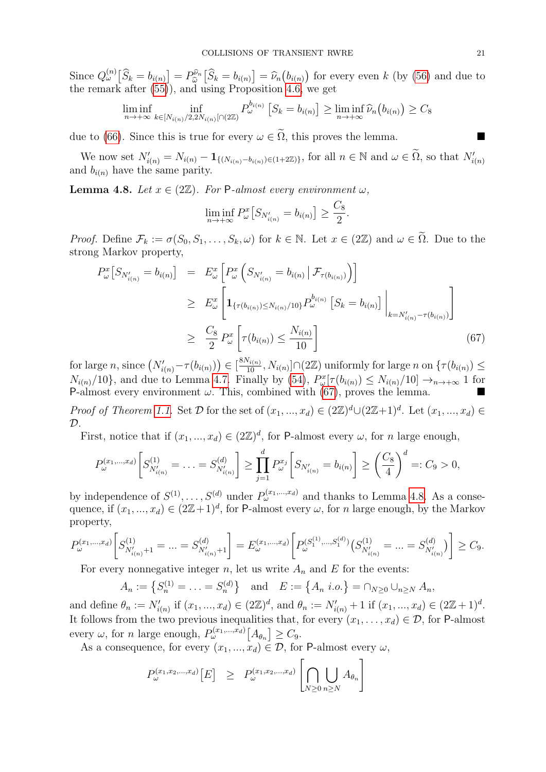Since  $Q_{\omega}^{(n)}[\widehat{S}_k] = b_{i(n)}] = P_{\widehat{\omega}}^{\widehat{\nu}_n}$  $\hat{\omega}_{\hat{\omega}}^{\hat{\nu}_n} [\hat{S}_k = b_{i(n)}] = \hat{\nu}_n(b_{i(n)})$  for every even k (by [\(56\)](#page-17-1) and due to due to due proposition 4.6 we get the remark after [\(55\)](#page-16-1)), and using Proposition [4.6,](#page-19-3) we get

$$
\liminf_{n \to +\infty} \inf_{k \in [N_{i(n)}/2, 2N_{i(n)}[ \cap (2\mathbb{Z})} P_{\omega}^{b_{i(n)}} \left[ S_k = b_{i(n)} \right] \geq \liminf_{n \to +\infty} \widehat{\nu}_n(b_{i(n)}) \geq C_8
$$

due to [\(66\)](#page-19-4). Since this is true for every  $\omega \in \tilde{\Omega}$ , this proves the lemma.

We now set  $N'_{i(n)} = N_{i(n)} - \mathbf{1}_{\{(N_{i(n)} - b_{i(n)}) \in (1+2\mathbb{Z})\}}$ , for all  $n \in \mathbb{N}$  and  $\omega \in \widetilde{\Omega}$ , so that  $N'_{i(n)}$ and  $b_{i(n)}$  have the same parity.

<span id="page-20-1"></span>**Lemma 4.8.** Let  $x \in (2\mathbb{Z})$ . For P-almost every environment  $\omega$ ,

$$
\liminf_{n \to +\infty} P_{\omega}^x \big[ S_{N'_{i(n)}} = b_{i(n)} \big] \ge \frac{C_8}{2}.
$$

*Proof.* Define  $\mathcal{F}_k := \sigma(S_0, S_1, \ldots, S_k, \omega)$  for  $k \in \mathbb{N}$ . Let  $x \in (2\mathbb{Z})$  and  $\omega \in \tilde{\Omega}$ . Due to the strong Markov property,

<span id="page-20-0"></span>
$$
P_{\omega}^{x}[S_{N'_{i(n)}} = b_{i(n)}] = E_{\omega}^{x}[P_{\omega}^{x}(S_{N'_{i(n)}} = b_{i(n)} | \mathcal{F}_{\tau(b_{i(n)})})]
$$
  
\n
$$
\geq E_{\omega}^{x}[1_{\{\tau(b_{i(n)}) \leq N_{i(n)}/10\}} P_{\omega}^{b_{i(n)}}[S_{k} = b_{i(n)}] \Big|_{k=N'_{i(n)}-\tau(b_{i(n)})}]
$$
  
\n
$$
\geq \frac{C_{8}}{2} P_{\omega}^{x}[ \tau(b_{i(n)}) \leq \frac{N_{i(n)}}{10}]
$$
\n(67)

for large n, since  $(N'_{i(n)} - \tau(b_{i(n)})) \in [\frac{8N_{i(n)}}{10}, N_{i(n)}] \cap (2\mathbb{Z})$  uniformly for large n on  $\{\tau(b_{i(n)}) \leq$  $N_{i(n)}/10$ , and due to Lemma [4.7.](#page-19-1) Finally by [\(54\)](#page-15-2),  $P_{\omega}^x[\tau(b_{i(n)}) \leq N_{i(n)}/10] \rightarrow_{n \to +\infty} 1$  for P-almost every environment  $\omega$ . This, combined with [\(67\)](#page-20-0), proves the lemma.

*Proof of Theorem [1.1.](#page-2-0)* Set  $D$  for the set of  $(x_1, ..., x_d) \in (2\mathbb{Z})^d \cup (2\mathbb{Z}+1)^d$ . Let  $(x_1, ..., x_d) \in$  $\mathcal{D}$ .

First, notice that if  $(x_1, ..., x_d) \in (2\mathbb{Z})^d$ , for P-almost every  $\omega$ , for n large enough,

$$
P_{\omega}^{(x_1,\dots,x_d)}\left[S_{N'_{i(n)}}^{(1)}=\dots=S_{N'_{i(n)}}^{(d)}\right]\geq \prod_{j=1}^d P_{\omega}^{x_j}\left[S_{N'_{i(n)}}=b_{i(n)}\right]\geq \left(\frac{C_8}{4}\right)^d=:C_9>0,
$$

by independence of  $S^{(1)}, \ldots, S^{(d)}$  under  $P_{\omega}^{(x_1,\ldots,x_d)}$  and thanks to Lemma [4.8.](#page-20-1) As a consequence, if  $(x_1, ..., x_d) \in (2\mathbb{Z}+1)^d$ , for P-almost every  $\omega$ , for n large enough, by the Markov property,

$$
P_{\omega}^{(x_1,\ldots,x_d)}\bigg[S_{N_{i(n)}'+1}^{(1)}=\ldots=S_{N_{i(n)}'+1}^{(d)}\bigg]=E_{\omega}^{(x_1,\ldots,x_d)}\bigg[P_{\omega}^{(S_1^{(1)},\ldots,S_1^{(d)})}\big(S_{N_{i(n)}'}^{(1)}=\ldots=S_{N_{i(n)}'}^{(d)}\bigg)\bigg]\geq C_9.
$$

For every nonnegative integer n, let us write  $A_n$  and E for the events:

$$
A_n := \{ S_n^{(1)} = \ldots = S_n^{(d)} \}
$$
 and  $E := \{ A_n \ i.o. \} = \cap_{N \geq 0} \cup_{n \geq N} A_n$ ,

and define  $\theta_n := N'_{i(n)}$  if  $(x_1, ..., x_d) \in (2\mathbb{Z})^d$ , and  $\theta_n := N'_{i(n)} + 1$  if  $(x_1, ..., x_d) \in (2\mathbb{Z} + 1)^d$ . It follows from the two previous inequalities that, for every  $(x_1, \ldots, x_d) \in \mathcal{D}$ , for P-almost every  $\omega$ , for *n* large enough,  $P_{\omega}^{(x_1,...,x_d)}[A_{\theta_n}] \geq C_9$ .

As a consequence, for every  $(x_1, ..., x_d) \in \mathcal{D}$ , for P-almost every  $\omega$ ,

<span id="page-20-2"></span>
$$
P_{\omega}^{(x_1, x_2, \dots, x_d)}[E] \ge P_{\omega}^{(x_1, x_2, \dots, x_d)} \left[\bigcap_{N \ge 0} \bigcup_{n \ge N} A_{\theta_n}\right]
$$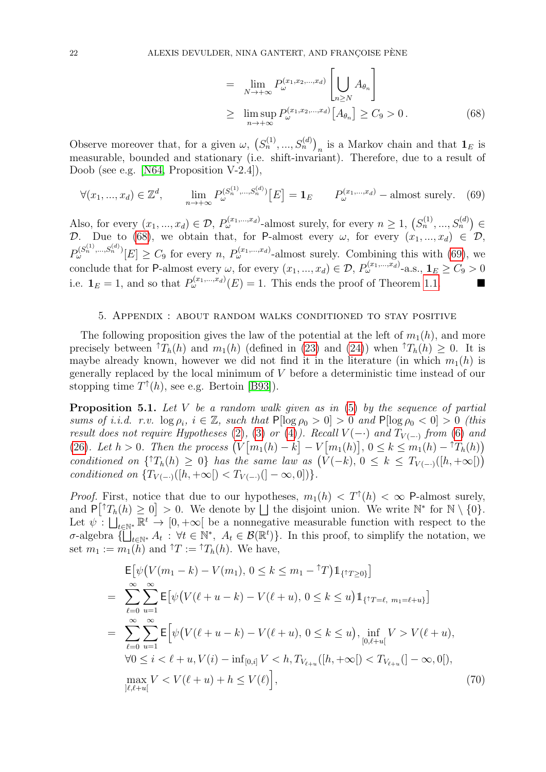$$
= \lim_{N \to +\infty} P_{\omega}^{(x_1, x_2, \dots, x_d)} \left[ \bigcup_{n \geq N} A_{\theta_n} \right]
$$
  
\n
$$
\geq \limsup_{n \to +\infty} P_{\omega}^{(x_1, x_2, \dots, x_d)} \left[ A_{\theta_n} \right] \geq C_9 > 0.
$$
 (68)

Observe moreover that, for a given  $\omega$ ,  $(S_n^{(1)},...,S_n^{(d)})_n$  is a Markov chain and that  $\mathbf{1}_E$  is measurable, bounded and stationary (i.e. shift-invariant). Therefore, due to a result of Doob (see e.g. [\[N64,](#page-24-25) Proposition V-2.4]),

<span id="page-21-2"></span>
$$
\forall (x_1, ..., x_d) \in \mathbb{Z}^d, \qquad \lim_{n \to +\infty} P_{\omega}^{(S_n^{(1)}, ..., S_n^{(d)})} [E] = \mathbf{1}_E \qquad P_{\omega}^{(x_1, ..., x_d)} - \text{almost surely.} \tag{69}
$$

Also, for every  $(x_1, ..., x_d) \in \mathcal{D}$ ,  $P_{\omega}^{(x_1,...,x_d)}$ -almost surely, for every  $n \geq 1$ ,  $(S_n^{(1)}, ..., S_n^{(d)}) \in$ D. Due to [\(68\)](#page-20-2), we obtain that, for P-almost every  $\omega$ , for every  $(x_1, ..., x_d) \in \mathcal{D}$ ,  $P_{\omega}^{(S_n^{(1)},...,S_n^{(d)})}[E] \geq C_9$  for every n,  $P_{\omega}^{(x_1,...,x_d)}$ -almost surely. Combining this with [\(69\)](#page-21-2), we conclude that for P-almost every  $\omega$ , for every  $(x_1, ..., x_d) \in \mathcal{D}$ ,  $P_{\omega}^{(x_1,...,x_d)}$ -a.s.,  $\mathbf{1}_E \ge C_9 > 0$ i.e.  $\mathbf{1}_E = 1$ , and so that  $P_{\omega}^{(x_1,...,x_d)}(E) = 1$ . This ends the proof of Theorem [1.1.](#page-2-0)

### 5. Appendix : about random walks conditioned to stay positive

<span id="page-21-0"></span>The following proposition gives the law of the potential at the left of  $m_1(h)$ , and more precisely between  ${}^{\uparrow}T_h(h)$  and  $m_1(h)$  (defined in [\(23\)](#page-5-0) and [\(24\)](#page-5-0)) when  ${}^{\uparrow}T_h(h) \geq 0$ . It is maybe already known, however we did not find it in the literature (in which  $m_1(h)$  is generally replaced by the local minimum of V before a deterministic time instead of our stopping time  $T^{\uparrow}(h)$ , see e.g. Bertoin [\[B93\]](#page-23-7)).

<span id="page-21-1"></span>**Proposition 5.1.** Let V be a random walk given as in  $(5)$  by the sequence of partial sums of i.i.d. r.v.  $\log \rho_i$ ,  $i \in \mathbb{Z}$ , such that  $P[\log \rho_0 > 0] > 0$  and  $P[\log \rho_0 < 0] > 0$  (this result does not require Hypotheses [\(2\)](#page-1-2), [\(3\)](#page-1-0) or [\(4\)](#page-1-1)). Recall  $V(-)$  and  $T_{V(-)}$  from [\(6\)](#page-3-2) and [\(26\)](#page-5-0). Let  $h > 0$ . Then the process  $\left(V[m_1(h) - k] - V[m_1(h)], 0 \le k \le m_1(h) - {}^{\uparrow}T_h(h)\right)$ conditioned on  $\{^{\uparrow}T_h(h) \geq 0\}$  has the same law as  $(V(-k), 0 \leq k \leq T_{V(-)}([h, +\infty[))$ conditioned on  ${T_{V(-)}([h, +\infty[) < T_{V(-)}([- \infty, 0]))}.$ 

*Proof.* First, notice that due to our hypotheses,  $m_1(h) < T<sup>\dagger</sup>(h) < \infty$  P-almost surely, and  $P[\uparrow T_h(h) \geq 0] > 0$ . We denote by  $\Box$  the disjoint union. We write  $\mathbb{N}^*$  for  $\mathbb{N} \setminus \{0\}$ . Let  $\psi: \bigcup_{t\in\mathbb{N}^*}\mathbb{R}^t \to [0,+\infty[$  be a nonnegative measurable function with respect to the  $\sigma$ -algebra  $\{\prod_{t\in\mathbb{N}^*} A_t : \forall t\in\mathbb{N}^*, A_t\in\mathcal{B}(\mathbb{R}^t)\}\.$  In this proof, to simplify the notation, we set  $m_1 := m_1(h)$  and  $\hat{T} := \hat{T}_h(h)$ . We have,

<span id="page-21-3"></span>
$$
\mathsf{E}\big[\psi\big(V(m_1 - k) - V(m_1), 0 \le k \le m_1 - \mathsf{T}T\big)\mathbb{1}_{\{\mathsf{T}T \ge 0\}}\big]
$$
\n
$$
= \sum_{\ell=0}^{\infty} \sum_{u=1}^{\infty} \mathsf{E}\big[\psi\big(V(\ell+u-k) - V(\ell+u), 0 \le k \le u\big)\mathbb{1}_{\{\mathsf{T}T = \ell, m_1 = \ell+u\}}\big]
$$
\n
$$
= \sum_{\ell=0}^{\infty} \sum_{u=1}^{\infty} \mathsf{E}\big[\psi\big(V(\ell+u-k) - V(\ell+u), 0 \le k \le u\big), \inf_{[0,\ell+u]} V > V(\ell+u),
$$
\n
$$
\forall 0 \le i < \ell+u, V(i) - \inf_{[0,i]} V < h, T_{V_{\ell+u}}([h,+\infty[) < T_{V_{\ell+u}}(]-\infty,0]),
$$
\n
$$
\max_{]\ell,\ell+u[} V < V(\ell+u) + h \le V(\ell)\big],\tag{70}
$$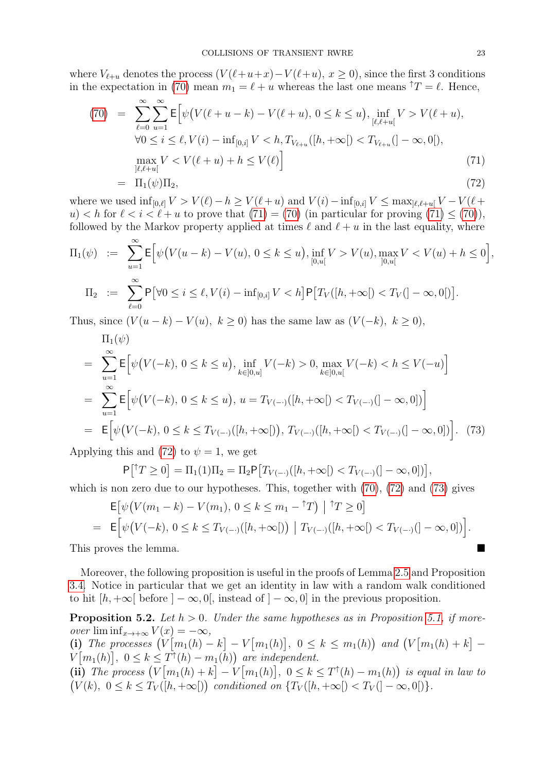where  $V_{\ell+u}$  denotes the process  $(V(\ell+u+x)-V(\ell+u), x \ge 0)$ , since the first 3 conditions in the expectation in [\(70\)](#page-21-3) mean  $m_1 = \ell + u$  whereas the last one means  $\hat{T} = \ell$ . Hence,

<span id="page-22-1"></span>
$$
(70) = \sum_{\ell=0}^{\infty} \sum_{u=1}^{\infty} \mathsf{E} \Big[ \psi \big( V(\ell+u-k) - V(\ell+u), 0 \le k \le u \big), \inf_{[\ell,\ell+u]} V > V(\ell+u),
$$
\n
$$
\forall 0 \le i \le \ell, V(i) - \inf_{[0,i]} V < h, T_{V_{\ell+u}}([h,+\infty[) < T_{V_{\ell+u}}(]-\infty,0[),
$$
\n
$$
\max_{]\ell,\ell+u[} V < V(\ell+u) + h \le V(\ell) \Big] \tag{71}
$$
\n
$$
= \Pi_1(\psi) \Pi_2, \tag{72}
$$

where we used  $\inf_{[0,\ell]} V > V(\ell) - h \geq V(\ell+u)$  and  $V(i) - \inf_{[0,i]} V \leq \max_{[\ell,\ell+u]} V - V(\ell+u)$ u)  $\langle h \rangle$  for  $\ell \langle i \langle \ell + u \rangle$  to prove that  $(71) = (70)$  $(71) = (70)$  (in particular for proving  $(71) \leq (70)$  $(71) \leq (70)$ ), followed by the Markov property applied at times  $\ell$  and  $\ell + u$  in the last equality, where

$$
\Pi_1(\psi) := \sum_{u=1}^{\infty} \mathsf{E} \Big[ \psi\big(V(u-k) - V(u), \, 0 \le k \le u\big), \inf_{[0,u[} V > V(u), \max_{]0,u[} V < V(u) + h \le 0 \Big],
$$
\n
$$
\Pi_2 := \sum_{\ell=0}^{\infty} \mathsf{P} \big[ \forall 0 \le i \le \ell, V(i) - \inf_{[0,i]} V < h \big] \mathsf{P} \big[ T_V([h, +\infty[) < T_V(]-\infty, 0[)\big].
$$

Thus, since  $(V(u-k) - V(u), k \ge 0)$  has the same law as  $(V(-k), k \ge 0)$ ,

<span id="page-22-2"></span>
$$
\Pi_{1}(\psi)
$$
\n
$$
= \sum_{u=1}^{\infty} \mathsf{E} \Big[ \psi(V(-k), 0 \le k \le u), \inf_{k \in [0, u]} V(-k) > 0, \max_{k \in [0, u]} V(-k) < h \le V(-u) \Big]
$$
\n
$$
= \sum_{u=1}^{\infty} \mathsf{E} \Big[ \psi(V(-k), 0 \le k \le u), u = T_{V(-)}([h, +\infty[) < T_{V(-)}([-\infty, 0]) \Big]
$$
\n
$$
= \mathsf{E} \Big[ \psi(V(-k), 0 \le k \le T_{V(-)}([h, +\infty[)), T_{V(-)}([h, +\infty[) < T_{V(-)}([-\infty, 0]) \Big]. \tag{73}
$$

Applying this and [\(72\)](#page-22-1) to  $\psi = 1$ , we get

$$
P[{^{\uparrow}T \ge 0}] = \Pi_1(1)\Pi_2 = \Pi_2 P [T_{V(-)}([h, +\infty[) < T_{V(-)}([- \infty, 0])],
$$

which is non zero due to our hypotheses. This, together with  $(70)$ ,  $(72)$  and  $(73)$  gives

$$
\mathsf{E}\big[\psi\big(V(m_1 - k) - V(m_1), \, 0 \le k \le m_1 - {}^{\uparrow}T\big) \mid {}^{\uparrow}T \ge 0\big]
$$
\n
$$
= \mathsf{E}\Big[\psi\big(V(-k), \, 0 \le k \le T_{V(-)}([h, +\infty[)\big) \mid T_{V(-)}([h, +\infty[) < T_{V(-)}([-\infty, 0])\big)\Big].
$$

This proves the lemma.

Moreover, the following proposition is useful in the proofs of Lemma [2.5](#page-7-0) and Proposition [3.4.](#page-13-0) Notice in particular that we get an identity in law with a random walk conditioned to hit  $[h, +\infty]$  before  $]-\infty, 0[$ , instead of  $]-\infty, 0]$  in the previous proposition.

<span id="page-22-0"></span>**Proposition 5.2.** Let  $h > 0$ . Under the same hypotheses as in Proposition [5.1,](#page-21-1) if moreover  $\liminf_{x\to+\infty}V(x)=-\infty$ , (i) The processes  $\left(V[m_1(h) - k] - V[m_1(h)], 0 \le k \le m_1(h)\right)$  and  $\left(V[m_1(h) + k] - V[m_1(h)]\right)$  $V[m_1(h)], 0 \le k \le T^{\dagger}(h) - m_1(h)$  are independent. (ii) The process  $(V[m_1(h) + k] - V[m_1(h)], 0 \le k \le T^{\dagger}(h) - m_1(h))$  is equal in law to  $(V(k), 0 \le k \le T_V([h,+\infty[))$  conditioned on  $\{T_V([h,+\infty[) < T_V([-\infty,0[)$ .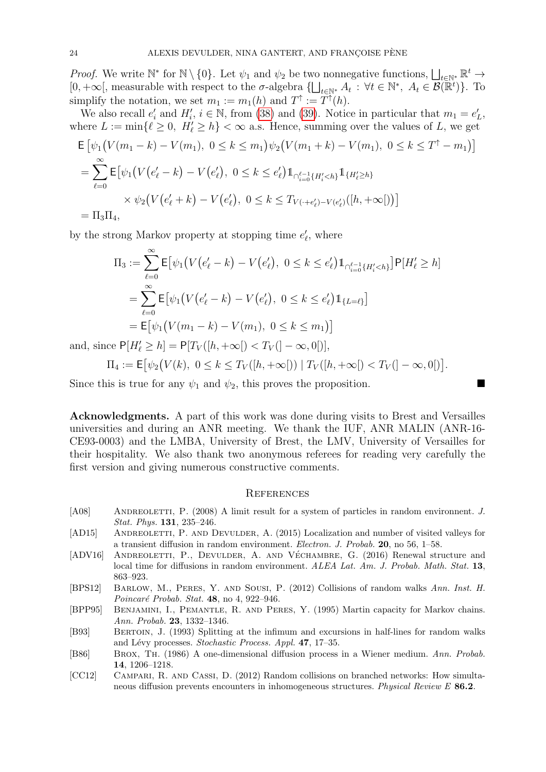*Proof.* We write  $\mathbb{N}^*$  for  $\mathbb{N} \setminus \{0\}$ . Let  $\psi_1$  and  $\psi_2$  be two nonnegative functions,  $\bigsqcup_{t \in \mathbb{N}^*} \mathbb{R}^t \to$  $[0, +\infty],$  measurable with respect to the  $\sigma$ -algebra  $\{\bigsqcup_{t\in\mathbb{N}^*} A_t : \forall t\in\mathbb{N}^*, A_t\in\mathcal{B}(\mathbb{R}^t)\}.$  To simplify the notation, we set  $m_1 := m_1(h)$  and  $T^{\dagger} := T^{\dagger}(h)$ .

We also recall  $e'_i$  and  $H'_i$ ,  $i \in \mathbb{N}$ , from [\(38\)](#page-10-4) and [\(39\)](#page-10-5). Notice in particular that  $m_1 = e'_L$ , where  $L := \min\{\ell \geq 0, H'_\ell \geq h\} < \infty$  a.s. Hence, summing over the values of L, we get

$$
\mathsf{E}\left[\psi_1\big(V(m_1 - k) - V(m_1), \ 0 \le k \le m_1\big)\psi_2\big(V(m_1 + k) - V(m_1), \ 0 \le k \le T^{\uparrow} - m_1\big)\right]
$$
\n
$$
= \sum_{\ell=0}^{\infty} \mathsf{E}\left[\psi_1\big(V\big(e_{\ell}' - k\big) - V\big(e_{\ell}'\big), \ 0 \le k \le e_{\ell}'\big)\mathbb{1}_{\cap_{i=0}^{\ell-1}\{H'_i < h\}}\mathbb{1}_{\{H'_\ell \ge h\}}
$$
\n
$$
\times \psi_2\big(V\big(e_{\ell}'+k\big) - V\big(e_{\ell}'\big), \ 0 \le k \le T_{V\left(\cdot + e_{\ell}'\right) - V\left(e_{\ell}'\right)}\big([h, +\infty]\big)\big)\right]
$$
\n
$$
= \Pi_3 \Pi_4,
$$

by the strong Markov property at stopping time  $e'_{\ell}$ , where

$$
\Pi_3 := \sum_{\ell=0}^{\infty} \mathsf{E} \big[ \psi_1 \big( V(e'_\ell - k) - V(e'_\ell), \ 0 \le k \le e'_\ell \big) \mathbb{1}_{\bigcap_{i=0}^{\ell-1} \{H'_i < h\}} \big] \mathsf{P}[H'_\ell \ge h]
$$
\n
$$
= \sum_{\ell=0}^{\infty} \mathsf{E} \big[ \psi_1 \big( V(e'_\ell - k) - V(e'_\ell), \ 0 \le k \le e'_\ell \big) \mathbb{1}_{\{L = \ell\}} \big]
$$
\n
$$
= \mathsf{E} \big[ \psi_1 \big( V(m_1 - k) - V(m_1), \ 0 \le k \le m_1 \big) \big]
$$

and, since  $P[H'_{\ell} \ge h] = P[T_V([h, +\infty[) < T_V([-\infty, 0[)],$ 

$$
\Pi_4 := \mathsf{E}\big[\psi_2\big(V(k), \ 0 \le k \le T_V([h, +\infty[)\big) \mid T_V([h, +\infty[) < T_V(]-\infty, 0[)\big].
$$

Since this is true for any  $\psi_1$  and  $\psi_2$ , this proves the proposition.

Acknowledgments. A part of this work was done during visits to Brest and Versailles universities and during an ANR meeting. We thank the IUF, ANR MALIN (ANR-16- CE93-0003) and the LMBA, University of Brest, the LMV, University of Versailles for their hospitality. We also thank two anonymous referees for reading very carefully the first version and giving numerous constructive comments.

### **REFERENCES**

- <span id="page-23-2"></span>[A08] ANDREOLETTI, P. (2008) A limit result for a system of particles in random environment. J. Stat. Phys. 131, 235–246.
- <span id="page-23-3"></span>[AD15] ANDREOLETTI, P. AND DEVULDER, A. (2015) Localization and number of visited valleys for a transient diffusion in random environment. Electron. J. Probab. 20, no 56, 1–58.
- <span id="page-23-4"></span>[ADV16] ANDREOLETTI, P., DEVULDER, A. AND VÉCHAMBRE, G. (2016) Renewal structure and local time for diffusions in random environment. ALEA Lat. Am. J. Probab. Math. Stat. 13, 863–923.
- <span id="page-23-0"></span>[BPS12] Barlow, M., Peres, Y. and Sousi, P. (2012) Collisions of random walks Ann. Inst. H. Poincaré Probab. Stat.  $48$ , no  $4$ , 922–946.
- <span id="page-23-5"></span>[BPP95] Benjamini, I., Pemantle, R. and Peres, Y. (1995) Martin capacity for Markov chains. Ann. Probab. 23, 1332–1346.
- <span id="page-23-7"></span>[B93] Bertoin, J. (1993) Splitting at the infimum and excursions in half-lines for random walks and Lévy processes. Stochastic Process. Appl. 47, 17-35.
- <span id="page-23-6"></span>[B86] Brox, Th. (1986) A one-dimensional diffusion process in a Wiener medium. Ann. Probab. 14, 1206–1218.
- <span id="page-23-1"></span>[CC12] Campari, R. and Cassi, D. (2012) Random collisions on branched networks: How simultaneous diffusion prevents encounters in inhomogeneous structures. Physical Review E 86.2.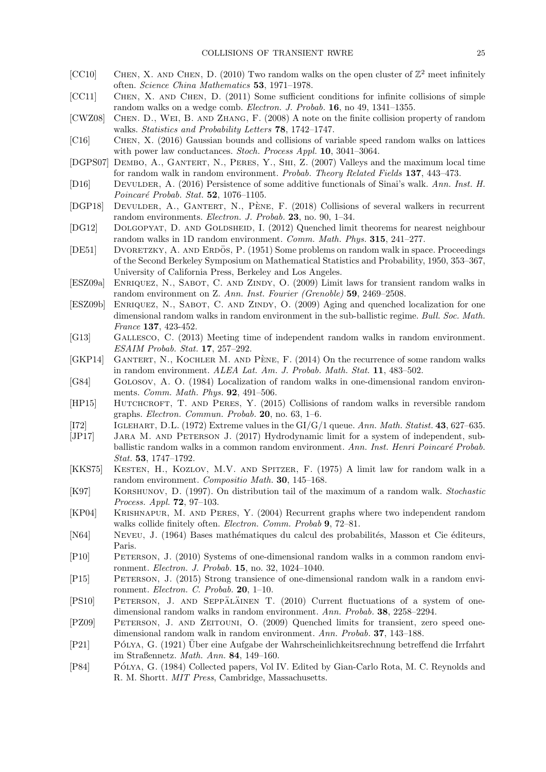- <span id="page-24-5"></span>[CC10] CHEN, X. AND CHEN, D. (2010) Two random walks on the open cluster of  $\mathbb{Z}^2$  meet infinitely often. Science China Mathematics 53, 1971–1978.
- <span id="page-24-6"></span>[CC11] Chen, X. and Chen, D. (2011) Some sufficient conditions for infinite collisions of simple random walks on a wedge comb. Electron. J. Probab. 16, no 49, 1341–1355.
- <span id="page-24-4"></span>[CWZ08] Chen. D., Wei, B. and Zhang, F. (2008) A note on the finite collision property of random walks. Statistics and Probability Letters 78, 1742–1747.
- <span id="page-24-8"></span>[C16] Chen, X. (2016) Gaussian bounds and collisions of variable speed random walks on lattices with power law conductances. Stoch. Process Appl. 10, 3041-3064.
- [DGPS07] DEMBO, A., GANTERT, N., PERES, Y., SHI, Z. (2007) Valleys and the maximum local time for random walk in random environment. Probab. Theory Related Fields 137, 443–473.
- <span id="page-24-21"></span>[D16] Devulder, A. (2016) Persistence of some additive functionals of Sinai's walk. Ann. Inst. H. Poincaré Probab. Stat.  $52$ , 1076–1105.
- <span id="page-24-11"></span>[DGP18] DEVULDER, A., GANTERT, N., PÈNE, F. (2018) Collisions of several walkers in recurrent random environments. Electron. J. Probab. 23, no. 90, 1–34.
- <span id="page-24-19"></span>[DG12] Dolgopyat, D. and Goldsheid, I. (2012) Quenched limit theorems for nearest neighbour random walks in 1D random environment. Comm. Math. Phys. 315, 241–277.
- <span id="page-24-2"></span>[DE51] DVORETZKY, A. AND ERDÖS, P. (1951) Some problems on random walk in space. Proceedings of the Second Berkeley Symposium on Mathematical Statistics and Probability, 1950, 353–367, University of California Press, Berkeley and Los Angeles.
- <span id="page-24-16"></span>[ESZ09a] ENRIQUEZ, N., SABOT, C. AND ZINDY, O. (2009) Limit laws for transient random walks in random environment on Z. Ann. Inst. Fourier (Grenoble) 59, 2469–2508.
- <span id="page-24-17"></span>[ESZ09b] ENRIQUEZ, N., SABOT, C. AND ZINDY, O. (2009) Aging and quenched localization for one dimensional random walks in random environment in the sub-ballistic regime. Bull. Soc. Math. France 137, 423-452.
- <span id="page-24-10"></span>[G13] Gallesco, C. (2013) Meeting time of independent random walks in random environment. ESAIM Probab. Stat. 17, 257–292.
- <span id="page-24-9"></span>[GKP14] GANTERT, N., KOCHLER M. AND PÈNE, F.  $(2014)$  On the recurrence of some random walks in random environment. ALEA Lat. Am. J. Probab. Math. Stat. 11, 483–502.
- <span id="page-24-20"></span>[G84] Golosov, A. O. (1984) Localization of random walks in one-dimensional random environments. *Comm. Math. Phys.* **92**, 491–506.
- <span id="page-24-7"></span>[HP15] HUTCHCROFT, T. AND PERES, Y. (2015) Collisions of random walks in reversible random graphs. Electron. Commun. Probab. 20, no. 63, 1–6.
- <span id="page-24-24"></span>[I72] Iglehart, D.L. (1972) Extreme values in the GI/G/1 queue. Ann. Math. Statist. 43, 627–635.
- <span id="page-24-14"></span>[JP17] Jara M. and Peterson J. (2017) Hydrodynamic limit for a system of independent, subballistic random walks in a common random environment. Ann. Inst. Henri Poincaré Probab. Stat. 53, 1747–1792.
- <span id="page-24-15"></span>[KKS75] KESTEN, H., KOZLOV, M.V. AND SPITZER, F. (1975) A limit law for random walk in a random environment. Compositio Math. 30, 145–168.
- <span id="page-24-22"></span>[K97] Korshunov, D. (1997). On distribution tail of the maximum of a random walk. Stochastic Process. Appl. 72, 97–103.
- <span id="page-24-3"></span>[KP04] Krishnapur, M. and Peres, Y. (2004) Recurrent graphs where two independent random walks collide finitely often. *Electron. Comm. Probab* 9, 72–81.
- <span id="page-24-25"></span>[N64] NEVEU, J. (1964) Bases mathématiques du calcul des probabilités, Masson et Cie éditeurs, Paris.
- <span id="page-24-13"></span>[P10] Peterson, J. (2010) Systems of one-dimensional random walks in a common random environment. Electron. J. Probab. 15, no. 32, 1024–1040.
- <span id="page-24-23"></span>[P15] Peterson, J. (2015) Strong transience of one-dimensional random walk in a random environment. Electron. C. Probab. 20, 1–10.
- <span id="page-24-12"></span>[PS10] PETERSON, J. AND SEPPALÄINEN T. (2010) Current fluctuations of a system of onedimensional random walks in random environment. Ann. Probab. 38, 2258–2294.
- <span id="page-24-18"></span>[PZ09] Peterson, J. and Zeitouni, O. (2009) Quenched limits for transient, zero speed onedimensional random walk in random environment. Ann. Probab. 37, 143–188.
- <span id="page-24-0"></span>[P21] Polya, G. ´ (1921) Uber eine Aufgabe der Wahrscheinlichkeitsrechnung betreffend die Irrfahrt ¨ im Straßennetz. Math. Ann. 84, 149–160.
- <span id="page-24-1"></span>[P84] PÓLYA, G. (1984) Collected papers, Vol IV. Edited by Gian-Carlo Rota, M. C. Reynolds and R. M. Shortt. MIT Press, Cambridge, Massachusetts.